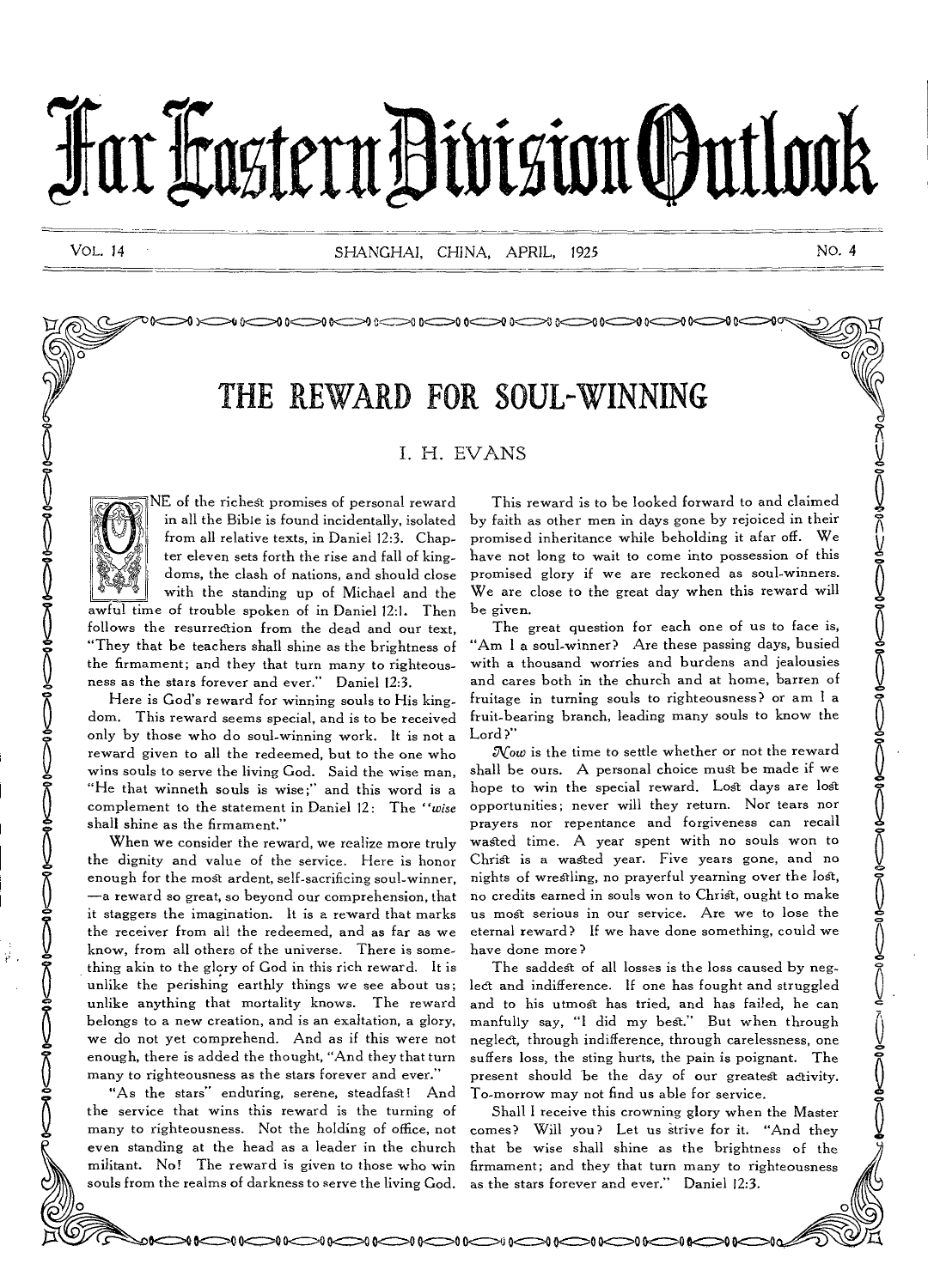# Far Castern Division Outlook

VOL. 14 SHANGHAI, CHINA, APRIL, 1925 NO. *4* 

 $\smash{\Longleftrightarrow}$ 

# THE REWARD FOR SOUL-WINNING

I. H. EVANS

 $\bigcirc$ 



NE of the richest promises of personal reward in all the Bible is found incidentally, isolated from all relative texts, in Daniel 12:3. Chapter eleven sets forth the rise and fall of kingdoms, the clash of nations, and should close with the standing up of Michael and the awful time of trouble spoken of in Daniel 12:1. Then follows the resurrection from the dead and our text,

"They that be teachers shall shine as the brightness of the firmament; and they that turn many to righteousness as the stars forever and ever." Daniel 12:3.

Here is God's reward for winning souls to His kingdom. This reward seems special, and is to be received only by those who do soul-winning work. It is not a reward given to all the redeemed, but to the one who wins souls to serve the living God. Said the wise man, "He that winneth souls is wise;" and this word is a complement to the statement in Daniel 12: The *"wise*  shall shine as the firmament."

When we consider the reward, we realize more truly the dignity and value of the service. Here is honor enough for the most ardent, self-sacrificing soul-winner, —a reward so great, so beyond our comprehension, that it staggers the imagination. It is a reward that marks the receiver from all the redeemed, and as far as we know, from all others of the universe. There is something akin to the glory of God in this rich reward. It is unlike the perishing earthly things we see about us; unlike anything that mortality knows. The reward belongs to a new creation, and is an exaltation, a glory, we do not yet comprehend. And as if this were not enough, there is added the thought, "And they that turn many to righteousness as the stars forever and ever."

"As the stars" enduring, serene, steadfast! And the service that wins this reward is the turning of many to righteousness. Not the holding of office, not even standing at the head as a leader in the church militant. No! The reward is given to those who win souls from the realms of darkness to serve the living God.

This reward is to be looked forward to and claimed by faith as other men in days gone by rejoiced in their promised inheritance while beholding it afar off. We have not long to wait to come into possession of this promised glory if we are reckoned as soul-winners. We are close to the great day when this reward will be given.

The great question for each one of us to face is, "Am I a soul-winner? Are these passing days, busied with a thousand worries and burdens and jealousies and cares both in the church and at home, barren of fruitage in turning souls to righteousness? or am I a fruit-bearing branch, leading many souls to know the Lord?"

 $\mathcal{N}$ ow is the time to settle whether or not the reward shall be ours. A personal choice must be made if we hope to win the special reward. Lost days are lost opportunities; never will they return. Nor tears nor prayers nor repentance and forgiveness can recall waged time. A year spent with no souls won to Christ is a wasted year. Five years gone, and no nights of wrestling, no prayerful yearning over the lost, no credits earned in souls won to Christ, ought to make us most serious in our service. Are we to lose the eternal reward? If we have done something, could we have done more?

The saddest of all losses is the loss caused by neglect and indifference. If one has fought and struggled and to his utmost has tried, and has failed, he can manfully say, "I did my best." But when through neglect, through indifference, through carelessness, one suffers loss, the sting hurts, the pain is poignant. The present should be the day of our greatest activity. To-morrow may not find us able for service.

Shall I receive this crowning glory when the Master comes? Will you? Let us strive for it. "And they that be wise shall shine as the brightness of the firmament; and they that turn many to righteousness as the stars forever and ever." Daniel 12:3.

**ANGO PORTUGO PORTUGO PROTECTIVO PROTECTIVO E SPECIFICATIVA**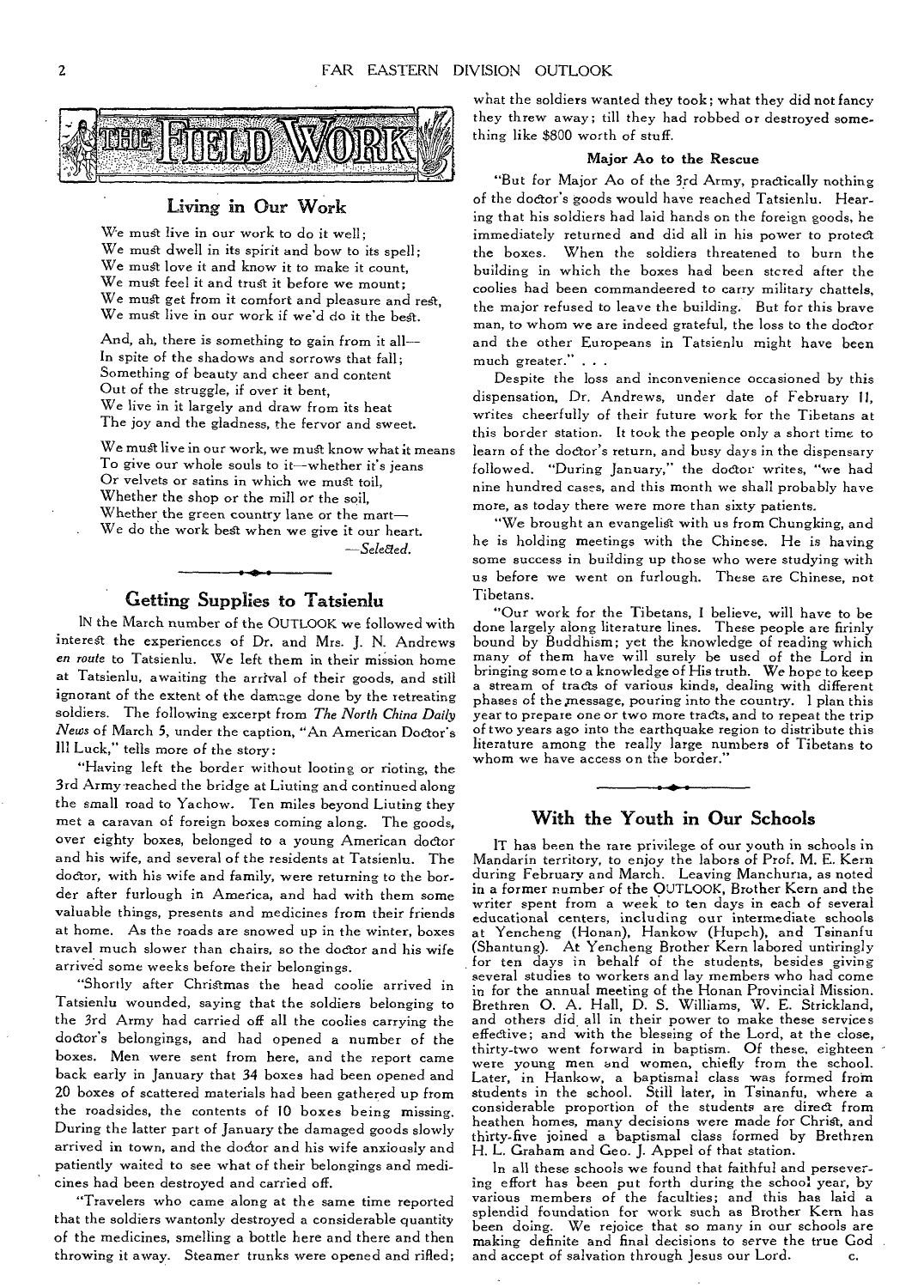

## Living in Our Work

We must live in our work to do it well; We must dwell in its spirit and bow to its spell; We must love it and know it to make it count, We must feel it and trust it before we mount; We must get from it comfort and pleasure and rest, We must live in our work if we'd do it the best.

And, ah, there is something to gain from it all— In spite of the shadows and sorrows that fall; Something of beauty and cheer and content Out of the struggle, if over it bent, We live in it largely and draw from its heat The joy and the gladness, the fervor and sweet.

We must live in our work, we must know what it means To give our whole souls to it—whether it's jeans Or velvets or satins in which we must toil, Whether the shop or the mill or the soil, Whether the green country lane or the mart— We do the work best when we give it our heart.

*—Selated.* 

# Getting Supplies to Tatsienlu

IN the March number of the OUTLOOK we followed with interest the experiences of Dr. and *Mrs.* J. N. Andrews *en route* to Tatsienlu. We left them in their mission home at Tatsienlu, awaiting the arrival of their goods, and still ignorant of the extent of the damage done by the retreating soldiers. The following excerpt from *The North China Daily News* of March 5, under the caption, "An American Doctor's Ill Luck," tells more of the story:

"Having left the border without looting or rioting, the 3rd Army reached the bridge at Liuting and continued along the small road to Yachow. Ten miles beyond Liuting they met a caravan of foreign boxes coming along. The goods, over eighty boxes, belonged to a young American doctor and his wife, and several of the residents at Tatsienlu. The doctor, with his wife and family, were returning to the bor. der after furlough in America, and had with them some valuable things, presents and medicines from their friends at home. As the roads are snowed up in the winter, boxes travel much slower than chairs, so the doctor and his wife arrived some weeks before their belongings.

"Shortly after Christmas the head coolie arrived in Tatsienlu wounded, saying that the soldiers belonging to the 3rd Army had carried off all the coolies carrying the doctor's belongings, and had opened a number of the boxes. Men were sent from here, and the report came back early in January that 34 boxes had been opened and 20 boxes of scattered materials had been gathered up from the roadsides, the contents of 10 boxes being missing. During the latter part of January the damaged goods slowly arrived in town, and the doctor and his wife anxiously and patiently waited to see what of their belongings and medicines had been destroyed and carried off.

"Travelers who came along at the same time reported that the soldiers wantonly destroyed a considerable quantity of the medicines, smelling a bottle here and there and then throwing it away. Steamer trunks were opened and rifled;

what the soldiers wanted they took; what they did not fancy they threw away; till they had robbed or destroyed something like \$800 worth of stuff.

#### Major Ao to the Rescue

"But for Major Ao of the 3rd Army, practically nothing of the doctor's goods would have reached Tatsienlu. Hearing that his soldiers had laid hands on the foreign goods, he immediately returned and did all in his power to protect the boxes. When the soldiers threatened to burn the building in which the boxes had been stcred after the coolies had been commandeered to carry military chattels, the major refused to leave the building. But for this brave man, to whom we are indeed grateful, the loss to the doctor and the other Europeans in Tatsienlu might have been much greater." . . .

Despite the loss and inconvenience occasioned by this dispensation, Dr. Andrews, under date of February 11, writes cheerfully of their future work for the Tibetans at this border station. It took the people only a short time to learn of the doctor's return, and busy days in the dispensary followed. "During January," the doctor writes, "we had nine hundred cases, and this month we shall probably have more, as today there were more than sixty patients.

"We brought an evangelist with us from Chungking, and he is holding meetings with the Chinese. He is having some success in building up those who were studying with us before we went on furlough. These are Chinese, not Tibetans.

"Our work for the Tibetans, I believe, will have to be done largely along literature lines. These people are firinly bound by Buddhism; yet the knowledge of reading which many of them have will surely be used of the Lord in bringing some to a knowledge of His truth. We hope to keep a stream of tracts of various kinds, dealing with different phases of the message, pouring into the country. I plan this year to prepare one or two more tracts, and to repeat the trip of two years ago into the earthquake region to distribute this literature among the really large numbers of Tibetans to whom we have access on the border."

# With the Youth in Our Schools

IT has been the rare privilege of our youth in schools in Mandarin territory, to enjoy the labors of Prof. M. E. Kern during February and March. Leaving Manchuria, as noted in a former number of the OUTLOOK, Brother Kern and the writer spent from a week to ten days in each of several educational centers, including our intermediate schools at Yencheng (Honan), Hankow (Hupch), and Tsinanfu (Shantung). At Yencheng Brother Kern labored untiringly for ten days in behalf of the students, besides giving several studies to workers and lay members who had come in for the annual meeting of the Honan Provincial Mission. Brethren 0. A. Hall, D. S. Williams, W. E. Strickland, and others did all in their power to make these services effective; and with the blessing of the Lord, at the close, thirty-two went forward in baptism. Of these, eighteen were young men and women, chiefly from the school. Later, in Hankow, a baptismal class was formed from students in the school. Still later, in Tsinanfu, where a considerable proportion of the students are direct from heathen homes, many decisions were made for Christ, and thirty-five joined a baptismal class formed by Brethren H. L. Graham and Geo. J. Appel of that station.

In all these schools we found that faithful and persevering effort has been put forth during the school year, by various members of the faculties; and this has laid a splendid foundation for work such as Brother Kern has been doing. We rejoice that so many in our schools are making definite and final decisions to serve the true God and accept of salvation through Jesus our Lord. c.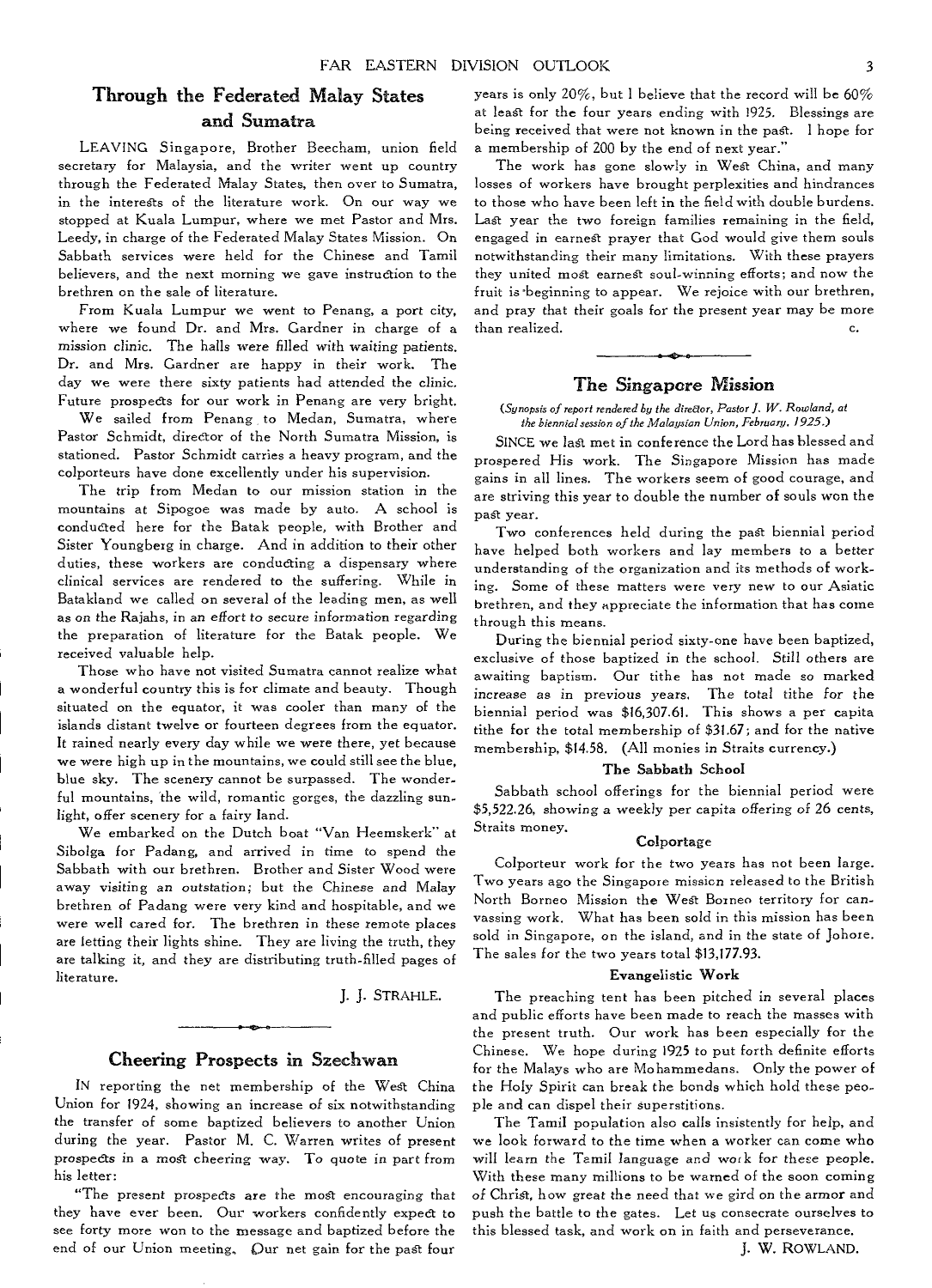# Through the Federated Malay States and Sumatra

LEAVING Singapore, Brother Beecham, union field secretary for Malaysia, and the writer went up country through the Federated Malay States, then over to Sumatra, in the interests of the literature work. On our way we stopped at Kuala Lumpur, where we met Pastor and Mrs. Leedy, in charge of the Federated Malay States Mission. On Sabbath services were held for the Chinese and Tamil believers, and the next morning we gave instruction to the brethren on the sale of literature.

From Kuala Lumpur we went to Penang, a port city, where we found Dr. and Mrs. Gardner in charge of a *mission* clinic. The halls were filled with waiting patients. Dr. and Mrs. Gardner are happy in their work. The day we were there sixty patients had attended the clinic. Future prospects for our work in Penang are very bright.

We sailed from Penang to Medan, Sumatra, where Pastor Schmidt, director of the North Sumatra Mission, is stationed. Pastor Schmidt carries a heavy program, and the colporteurs have done excellently under his supervision.

The trip from Medan to our mission station in the mountains at Sipogoe was made by auto. A school is conducted here for the Batak people, with Brother and Sister Youngberg in charge. And in addition to their other duties, these workers are conducting a dispensary where clinical services are rendered to the suffering. While in Batakland we called on several of the leading men, as well as on the Rajahs, in an effort to secure information regarding the preparation of literature for the Batak people. We received valuable help.

Those who have not visited Sumatra cannot realize what a wonderful country this is for climate and beauty. Though situated on the equator, it was cooler than many of the islands distant twelve or fourteen degrees from the equator. It rained nearly every day while we were there, yet because we were high up in the mountains, we could still see the blue, blue sky. The scenery cannot be surpassed. The wonderful mountains, the wild, romantic gorges, the dazzling sunlight, offer scenery for a fairy land.

We embarked on the Dutch boat "Van Heemskerk" at Sibolga for Padang, and arrived in time to spend the Sabbath with our brethren. Brother and Sister Wood were away *visiting* an outstation; but the Chinese and Malay brethren of Padang were very kind and hospitable, and we were well cared for. The brethren in these remote places are letting their lights shine. They are living the truth, they are talking it, and they are distributing truth-filled pages of literature.

J. J. STRAHLE.

## Cheering Prospects in Szechwan

IN reporting the net membership of the West China Union for 1924, showing an increase of six notwithstanding the transfer of some baptized believers to another Union during the year. Pastor M. C. Warren writes of present prospects in a most cheering way. To quote in part from his letter:

"The present prospects are the most encouraging that they have ever been. Our workers confidently expect to see forty more won to the message and baptized before the end of our Union meeting, Our net gain for the pagt four

years is only 20%, but I believe that the record will be 60% at least for the four years ending with 1925. Blessings are being received that were not known in the past. I hope for a membership of 200 by the end of next year.'

The work has gone slowly in West China, and many losses of workers have brought perplexities and hindrances to those who have been left in the field with double burdens. Last year the two foreign families remaining in the field, engaged in earnest prayer that God would give them souls notwithstanding their many limitations. With these prayers they united most earnest soul-winning efforts; and now the fruit is-beginning to appear. We rejoice with our brethren, and pray that their goals for the present year may be more than realized.  $\qquad \qquad \text{c.}$ 

#### The *Singapore Mission*

*(Synopsis of report rendered by the director, Pastor J. W. Rowland, at the biennial session of the Malaysian Union, Febraary, 1925.)* 

SINCE we last met in conference the Lord has blessed and prospered His work. The Singapore Mission has made gains in all lines. The workers seem of good courage, and are striving this year to double the number of souls won the past year.

Two conferences held during the past biennial period have helped both workers and lay members to a better understanding of the organization and its methods of working. Some of these matters were very new to our Asiatic brethren, and they appreciate the information that has come through this means.

During the biennial period sixty-one have been baptized, exclusive of those baptized in the school. Still others are awaiting baptism. Our tithe has not made so marked increase as in previous years. The total tithe for the biennial period was \$16,307.61. This shows a per capita tithe for the total membership of \$31.67; and for the native membership, \$14.58. (All monies in Straits currency.)

#### The Sabbath School

Sabbath school offerings for the biennial period were \$5,522.26, *showing* a weekly per capita offering *of* 26 cents, Straits money.

#### Colportage

Colporteur work for the two years has not been large. Two years ago the Singapore mission released to the British North Borneo Mission the West Borneo territory for canvassing work. What has been sold in this mission has been sold in Singapore, on the island, and in the state of Johore. The sales for the two years total \$13,177.93.

#### Evangelistic Work

The preaching tent has been pitched in several places and public efforts have been made to reach the masses with the present truth. Our work has been especially for the Chinese. We hope during 1925 to put forth definite efforts for the Malays who are Mohammedans. Only the power of the Holy Spirit can break the bonds which hold these people and can dispel their superstitions.

The Tamil population also calls insistently for help, and we look forward to the time when a worker can come who will learn the Tamil language and work for these people. With these many millions to be warned of the soon coming of Christ, how great the need that we gird on the armor and push the battle to the gates. Let us consecrate ourselves to this blessed task, and work on in faith and perseverance.

J. W. ROWLAND.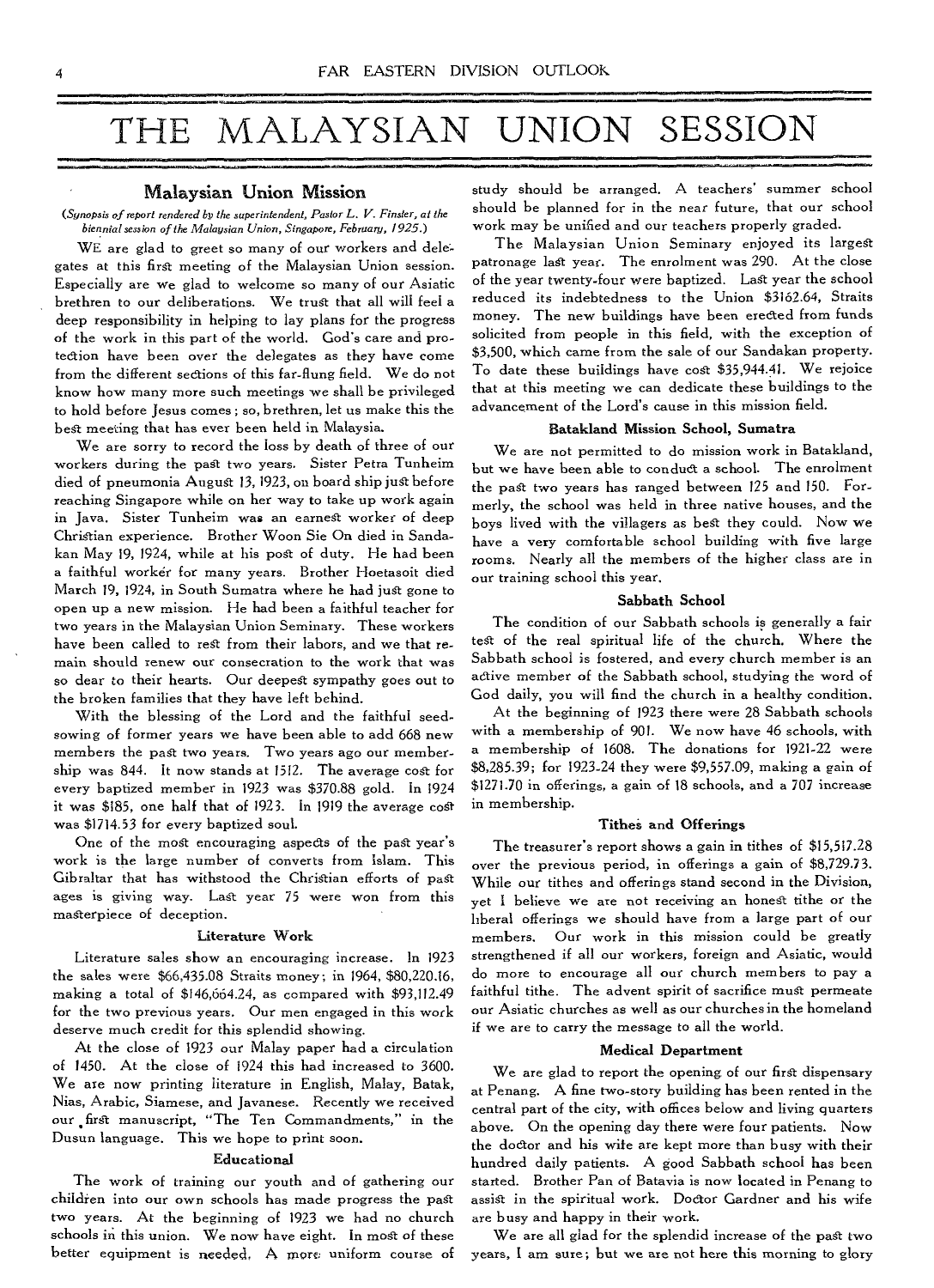# THE MALAYSIAN UNION SESSION

#### Malaysian Union Mission

*(Synopsis of report rendered by the superintendent, Pastor L. V. Finster, at the biennial session of the Malaysian Union, Singapore, February, 1925.)* 

WE are glad to greet so many of our workers and delegates at this first meeting of the Malaysian Union session. Especially are we glad to welcome so many of our Asiatic brethren to our deliberations. We trust that all will feel a deep responsibility in helping to lay plans for the progress of the work in this part of the world. God's care and protection have been over the delegates as they have come from the different sections of this far-flung field. We do not know how many more such meetings we shall be privileged to hold before Jesus comes ; so, brethren, let us make this the best meeting that has ever been held in Malaysia.

We are sorry to record the loss by death of three of our workers during the past two years. Sister Petra Tunheim died of pneumonia August 13, 1923, on board ship just before reaching Singapore while on her way to take up work again in Java. Sister Tunheim was an earnest worker of deep Christian experience. Brother Woon Sie On died in Sandakan May 19, 1924, while at his post of duty. He had been a faithful worker for many years. Brother Hoetasoit died March 19, 1924, in South Sumatra where he had just gone to open up a new mission. He had been a faithful teacher for two years in the Malaysian Union Seminary. These workers have been called to rest from their labors, and we that remain should renew our consecration to the work that was so dear to their hearts. Our deepest sympathy goes out to the broken families that they have left behind.

With the blessing of the Lord and the faithful seedsowing of former years we have been able to add 668 new members the past two years. Two years ago our membership was 844. It now stands at 1512. The average cost for every baptized member in 1923 was \$370.88 gold. In 1924 it was \$185, one half that of 1923. In 1919 the average cost was \$1714.53 for every baptized soul.

One of the most encouraging aspects of the past year's work is the large number of converts from Islam. This Gibraltar that has withstood the Christian efforts of past ages is giving way. Last year 75 were won from this masterpiece of deception.

#### **Literature Work**

Literature sales show an encouraging increase. In 1923 the sales were \$66,435.08 Straits money; in 1964, \$80,220.16, making a total of \$146,664.24, as compared with \$93,112.49 for the two previous years. Our men engaged in this work deserve much credit for this splendid showing.

At the close of 1923 our Malay paper had a circulation of 1450. At the close of 1924 this had increased to 3600. We are now printing literature in English, Malay, Batak, Nias, Arabic, Siamese, and Javanese. Recently we received our first manuscript, "The Ten Commandments," in the Dusun language. This we hope to print soon.

#### **Educational**

The work of training our youth and of gathering our children into our own schools has made progress the past two years. At the beginning of 1923 we had no church schools in this union. We now have eight. In most of these better equipment is needed, A more uniform course of study should be arranged. A teachers' summer school should be planned for in the near future, that our school work may be unified and our teachers properly graded.

The Malaysian Union Seminary enjoyed its largest patronage last year. The enrolment was 290. At the close of the year twenty-four were baptized. Last year the school reduced its indebtedness to the Union \$3162.64, Straits money. The new buildings have been erected from funds solicited from people in this field, with the exception of \$3,500, which came from the sale of our Sandakan property. To date these buildings have cost \$35,944.41. We rejoice that at this meeting we can dedicate these buildings to the advancement of the Lord's cause in this mission field.

#### **Batakland Mission School, Sumatra**

We are not permitted to do mission work in Batakland, but we have been able to conduct a school. The enrolment the past two years has ranged between 125 and 150. Formerly, the school was held in three native houses, and the boys lived with the villagers as best they could. Now we have a very comfortable school building with five large rooms. Nearly all the members of the higher class are in our training school this year.

#### **Sabbath School**

The condition of our Sabbath schools is generally a fair test of the real spiritual life of the church. Where the Sabbath school is fostered, and every church member is an active member of the Sabbath school, studying the word of God daily, you will find the church in a healthy condition.

At the beginning of 1923 there were 28 Sabbath schools with a membership of 901. We now have 46 schools, with a membership of 1608. The donations for 1921-22 were \$8,285.39; for 1923-24 they were \$9,557.09, making a gain of \$1271.70 in offerings, a gain of 18 schools, and a 707 increase in membership.

#### **Tithei and Offerings**

The treasurer's report shows a gain in tithes of \$15,517.28 over the previous period, in offerings a gain of \$8,729.73. While our tithes and offerings stand second in the Division, yet I believe we are not receiving an honest tithe or the liberal offerings we should have from a large part of our members. Our work in this mission could be greatly strengthened if all our workers, foreign and Asiatic, would do more to encourage all our church members to pay a faithful tithe. The advent spirit of sacrifice must permeate our Asiatic churches as well as our churches in the homeland if we are to carry the message to all the world.

#### **Medical Department**

We are glad to report the opening of our first dispensary at Penang. A fine two-story building has been rented in the central part of the city, with offices below and living quarters above. On the opening day there were four patients. Now the doctor and his wife are kept more than busy with their hundred daily patients. A good Sabbath school has been started. Brother Pan of Batavia is now located in Penang to assist in the spiritual work. Doctor Gardner and his wife are busy and happy in their work.

We are all glad for the splendid increase of the past two years, I am sure; but we are not here this morning to glory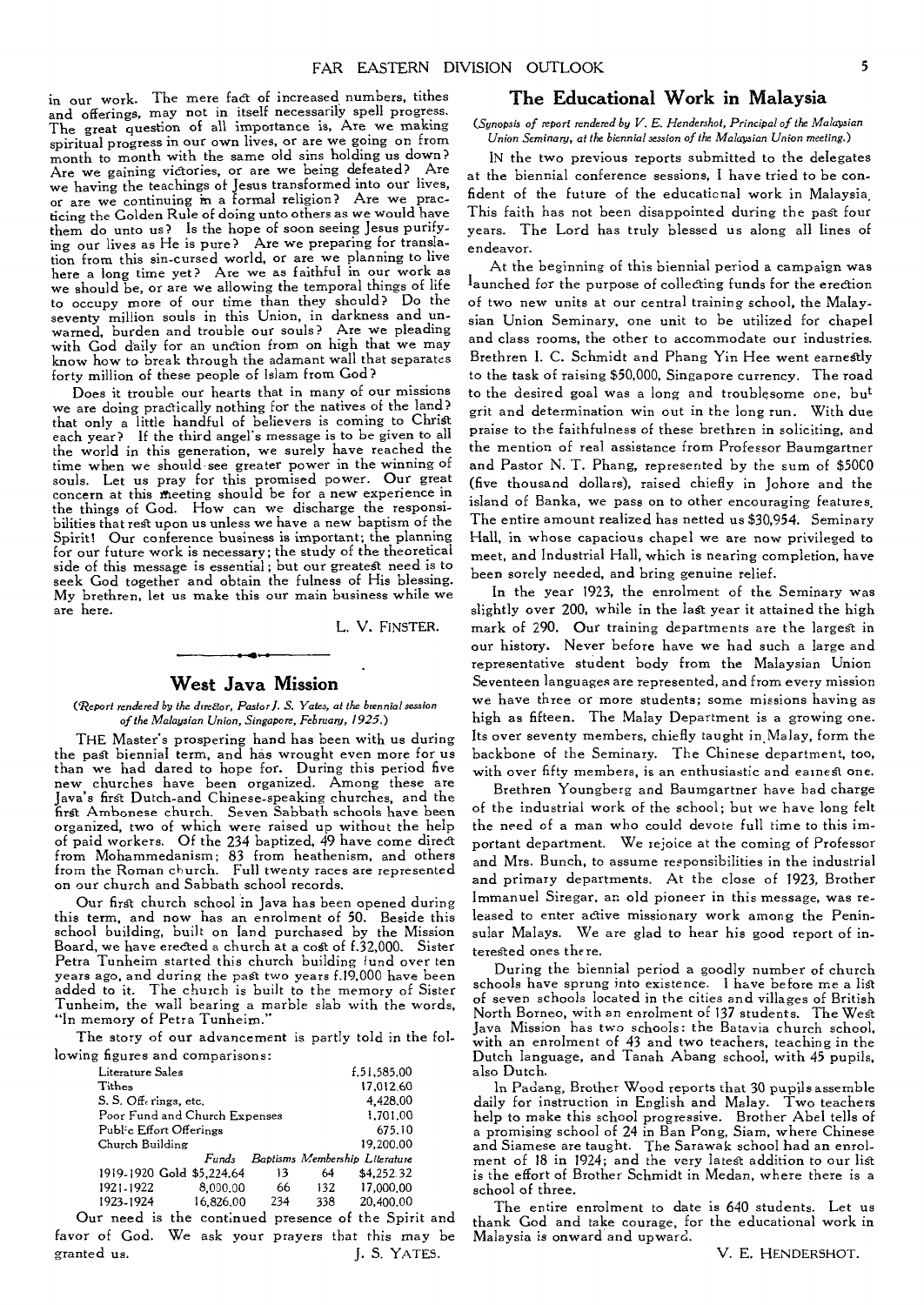in our work. The mere fact of increased numbers, tithes and offerings, may not in itself necessarily spell progress. The great question of all importance is, Are we making spiritual progress in our own lives, or are we going on from month to month with the same old sins holding us down? Are we gaining victories, or are we being defeated? Are we having the teachings of Jesus transformed into our lives, or are we continuing in a formal religion? Are we practicing the Golden Rule of doing unto others as we would have them do unto us? Is the hope of soon seeing Jesus purifying our lives as He is pure? Are we preparing for translation from this sin-cursed world, or are we planning to live here a long time yet? Are we as faithful in our work as we should be, or are we allowing the temporal things of life to occupy more of our time than they should? Do the seventy million souls in this Union, in darkness and unwarned, burden and trouble our souls? Are we pleading with God daily for an unction from on high that we may know how to break through the adamant wall that separates forty million of these people of Islam from God?

Does it trouble our hearts that in many of our missions we are doing practically nothing for the natives of the land? that only a little handful of believers is coming to Christ each year? If the third angel's message is to be given to all the world in this generation, we surely have reached the time when we should see greater power in the winning of souls. Let us pray for this promised power. Our great concern at this meeting should be for a new experience in the things of God. How can we discharge the responsibilities that rest upon us unless we have a new baptism of the Spirit! Our conference business is important; the planning for our future work is necessary; the study of the theoretical side of this message is essential ; but our greatest need is to seek God together and obtain the fulness of His blessing. My brethren, let us make this our main business while we are here.

L. V. FINSTER.

#### **West Java Mission**

(Report *rendered by the diretior, Pastor J. S. Yates, at the biennial session of the Malaysian Union, Singapore, February, 1925.)* 

THE Master's prospering hand has been with us during the past biennial term, and has wrought even more for us than we had dared to hope for. During this period five new churches have been organized. Among these are Java's first Dutch-and Chinese-speaking churches, and the first Ambonese church. Seven Sabbath schools have been organized, two of which were raised up without the help of paid workers. Of the 234 baptized, 49 have come direct from Mohammedanism; 83 from heathenism, and others from the Roman church. Full twenty races are represented on our church and Sabbath school records.

Our first church school in Java has been opened during this term, and now has an enrolment of 50. Beside this school building, built on land purchased by the Mission Board, we have erected a church at a cost of L32,000. Sister Petra Tunheim started this church building iund over ten years ago, and during the past two years f.19,000 have been added to it. The church is built to the memory of Sister Tunheim, the wall bearing a marble slab with the words, "In memory of Petra Tunheim."

The story of our advancement is partly told in the following figures and comparisons:

| Literature Sales              |           |     |     | £.51,585.00                    |  |
|-------------------------------|-----------|-----|-----|--------------------------------|--|
| Tithes                        |           |     |     | 17.012.60                      |  |
| S. S. Off-rings, etc.         |           |     |     | 4.428.00                       |  |
| Poor Fund and Church Expenses |           |     |     | 1.701.00                       |  |
| Public Effort Offerings       |           |     |     | 675.10                         |  |
| Church Building               |           |     |     | 19,200.00                      |  |
|                               | Funds     |     |     | Baptisms Membership Literature |  |
| 1919-1920 Gold \$5,224.64     |           | 13  | 64  | \$4,252.32                     |  |
| 1921-1922                     | 8,000.00  | 66  | 132 | 17,000.00                      |  |
| 1923-1924                     | 16.826.00 | 234 | 338 | 20,400.00                      |  |
|                               |           |     |     |                                |  |

Our need is the continued presence of the Spirit and favor of God. We ask your prayers that this may be granted us. J. S. YATES.

# **The Educational Work in Malaysia**

*(Synopsis of report rendered by V. E. Hendershot, Principal of the Malawian Union Seminary, at the biennial session of the Malaysian Union meeting.)* 

IN the two previous reports submitted to the delegates at the biennial conference sessions, I have tried to be confident of the future of the educational work in Malaysia. This faith has not been disappointed during the past four years. The Lord has truly blessed us along all lines of endeavor.

At the beginning of this biennial period a campaign was launched for the purpose of collecting funds for the erection of two new units at our central training school, the Malaysian Union Seminary, one unit to be utilized for chapel and class rooms, the other to accommodate our industries. Brethren I. C. Schmidt and Phang Yin Hee went earnestly to the task of raising \$50,000, Singapore currency. The road to the desired goal was a long and troublesome one, but grit and determination win out in the long run. With due praise to the faithfulness of these brethren in soliciting, and the mention of real assistance from Professor Baumgartner and Pastor N. T. Phang, represented by the sum of \$5000 (five thousand dollars), raised chiefly in Johore and the island of Banka, we pass on to other encouraging features. The entire amount realized has netted us \$30,954. Seminary Hall, in whose capacious chapel we are now privileged to meet, and Industrial Hall, which is nearing completion, have been sorely needed, and bring genuine relief.

In the year 1923, the enrolment of the Seminary was slightly over 200, while in the lagt year it attained the high mark of 290. Our training departments are the largest in our history. Never before have we had such a large and representative student body from the Malaysian Union Seventeen languages are represented, and from every mission we have three or more students; some missions having as high as fifteen. The Malay Department is a growing one. Its over seventy members, chiefly taught in Malay, form the backbone of the Seminary. The Chinese department, too, with over fifty members, is an enthusiastic and earnest one.

Brethren Youngberg and Baumgartner have had charge of the industrial work of the school; but we have long felt the need of a man who could devote full time to this important department. We rejoice at the coming of Professor and Mrs. Bunch, to assume responsibilities in the industrial and primary departments. At the close of 1923, Brother Immanuel Siregar, an old pioneer in this message, was released to enter active missionary work among the Peninsular Malays. We are glad to hear his good report of interested ones there.

During the biennial period a goodly number of church schools have sprung into existence. I have before me a list of seven schools located in the cities and villages of British North Borneo, with an enrolment of 137 students. The West Java Mission has two schools: the Batavia church school, with an enrolment of 43 and two teachers, teaching in the Dutch language, and Tanah Abang school, with 45 pupils, also Dutch.

In Padang, Brother Wood reports that 30 pupils assemble daily for instruction in English and Malay. Two teachers help to make this school progressive. Brother Abel tells of a promising school of 24 in Ban Pong, Siam, where Chinese and Siamese are taught. The Sarawak school had an enrolment of 18 in 1924; and the very latest addition to our list is the effort of Brother Schmidt in Medan, where there is a school of three.

The entire enrolment to date is 640 students. Let us thank God and take courage, for the educational work in Malaysia is onward and upward.

V. E. HENDERSHOT.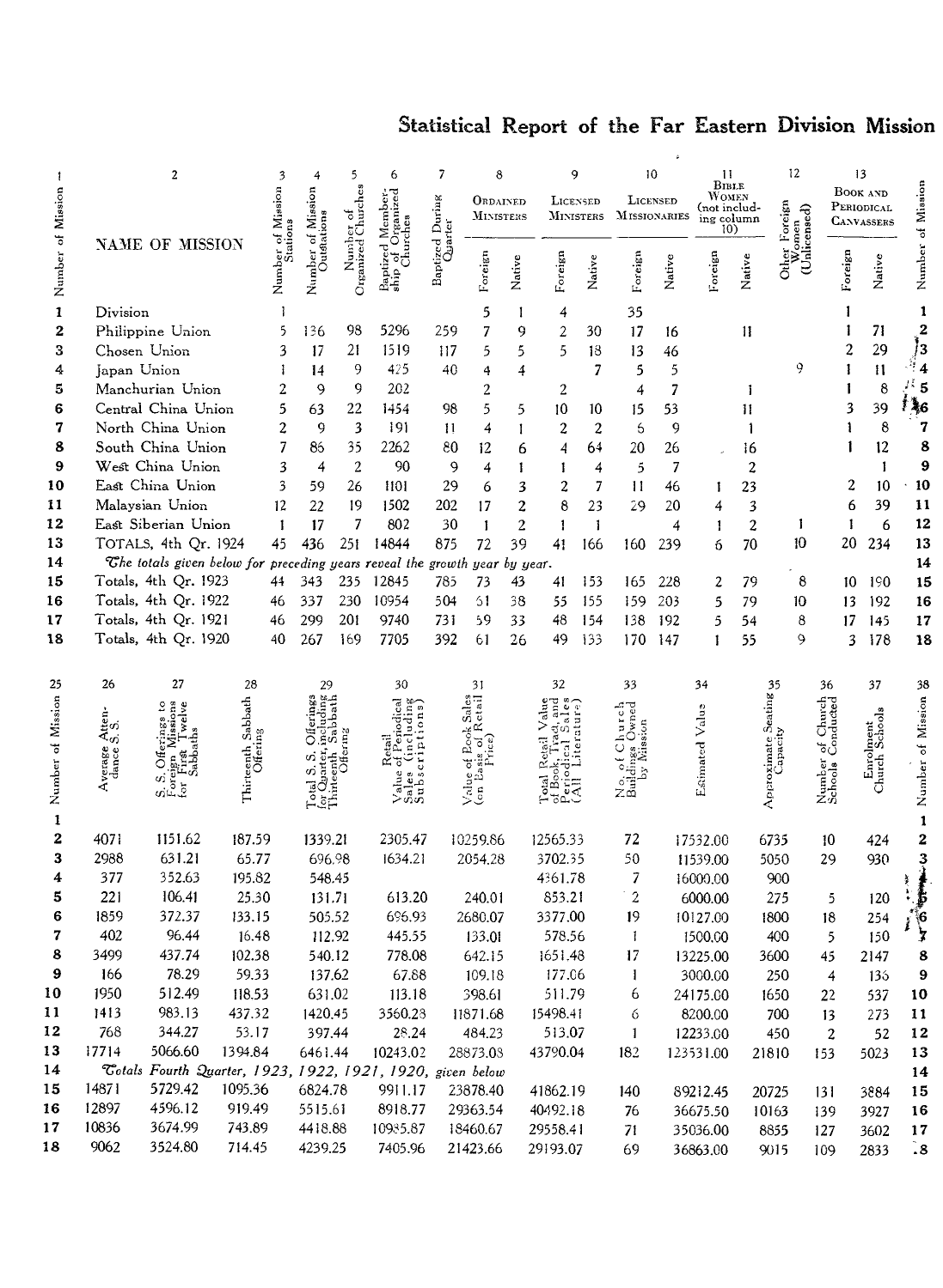# Statistical Report of the Far Eastern Division Mission

|                   | 2                  |                                                              |                                |              | 4                          | 5                               | 6                                              | 7                          | 8                            |                  |                     | 9                            |                  | 10              |                                                     | 11             | 12                                |                        | 13                                          |                              |
|-------------------|--------------------|--------------------------------------------------------------|--------------------------------|--------------|----------------------------|---------------------------------|------------------------------------------------|----------------------------|------------------------------|------------------|---------------------|------------------------------|------------------|-----------------|-----------------------------------------------------|----------------|-----------------------------------|------------------------|---------------------------------------------|------------------------------|
| Mission           |                    |                                                              |                                | of Mission   | Mission                    |                                 | rganized<br>Member-                            |                            | ORDAINED<br><b>MINISTERS</b> |                  |                     | LICENSED<br><b>MINISTERS</b> | MISSIONARIES     | <b>LICENSED</b> | BIBLE<br>WOMEN<br>(not includ-<br>ing column<br>10) |                | 'oreign<br>omen<br>icensed)       |                        | <b>BOOK AND</b><br>PERIODICAL<br>CANVASSERS | Number of Mission            |
| Number of         |                    | NAME OF MISSION                                              |                                |              | Outstations<br>õ<br>Number | Number of<br>Organized Churches | of Organ.<br>Churches<br>Baptized<br>ship of ( | Baptized During<br>Quarter | Foreign                      | Native           | Foreign             | Native                       | Foreign          | Native          | Foreign                                             | Native         | Other $\mathbb{W}_{\rm c}$<br>្ជូ | Foreign                | Native                                      |                              |
| $\mathbf{1}$      | Division           |                                                              |                                |              |                            |                                 |                                                |                            | 5                            | 1                | 4                   |                              | 35               |                 |                                                     |                |                                   |                        |                                             | 1                            |
| $\mathbf 2$       |                    | Philippine Union                                             |                                | 5            | 136                        | 98                              | 5296                                           | 259                        | 7                            | 9                | $\overline{2}$      | 30                           | 17               | 16              |                                                     | 11             |                                   |                        | 71                                          | $\overline{\mathbf{c}}$      |
| 3                 |                    | Chosen Union                                                 |                                | 3            | 17                         | 21                              | 1519                                           | 117                        | 5                            | 5                | 5                   | 18                           | 13               | 46              |                                                     |                |                                   | $\overline{c}$         | 29                                          | j<br>3                       |
| 4                 | Japan Union        |                                                              |                                | Ŧ            | 14                         | 9                               | 425                                            | 40                         | 4                            | 4                |                     | $\overline{7}$               | 5                | 5               |                                                     |                | 9                                 |                        | $\mathbf{11}$                               | ş<br>$\overline{\mathbf{4}}$ |
| 5                 |                    | Manchurian Union                                             |                                | 2            | $\mathbf{Q}$               | 9                               | 202                                            |                            | 2                            |                  | 2                   |                              | 4                | 7               |                                                     | 1              |                                   |                        | 8                                           | Дš<br>5                      |
| 6                 |                    | Central China Union                                          |                                | 5            | 63                         | 22                              | 1454                                           | 98                         | 5                            | 5                | 10                  | 10                           | 15               | 53              |                                                     | 11             |                                   | 3                      | 39                                          | † 46                         |
| 7                 |                    | North China Union                                            |                                | 2            | 9                          | 3                               | 191                                            | $\mathbf{1}$               | 4                            | $\mathbf{I}$     | $\overline{c}$      | 2                            | 6                | 9               |                                                     | 1              |                                   |                        | 8                                           | 7                            |
| 8                 |                    | South China Union                                            |                                | 7            | 86                         | 35                              | 2262                                           | 80                         | 12                           | 6                | 4                   | 64                           | 20               | 26              |                                                     | 16             |                                   |                        | 12                                          | 8                            |
| 9                 |                    | West China Union                                             |                                | 3            | $\overline{4}$             | $\overline{2}$                  | 90                                             | 9                          | 4                            | 1                | 1                   | $\overline{4}$               | 5                | 7               |                                                     | $\overline{2}$ |                                   |                        | 1                                           | 9                            |
| 10                |                    | East China Union                                             |                                | 3            | 59                         | 26                              | 1101                                           | 29                         | 6                            | 3                | 2                   | 7                            | $\mathbf{1}$     | 46              | 1                                                   | 23             |                                   | 2                      | 10                                          | 10                           |
| 11                |                    | Malaysian Union                                              |                                | $12 \n$      | 22                         | 19                              | 1502                                           | 202                        | 17                           | $\boldsymbol{2}$ | 8                   | 23                           | 29               | 20              | 4                                                   | 3              |                                   | 6                      | 39                                          | 11                           |
| 12                |                    | East Siberian Union                                          |                                | $\mathbf{1}$ | 17                         | 7                               | 802                                            | 30                         | $\mathbf{1}$                 | $\overline{2}$   | 1                   | 1                            |                  | 4               | 1                                                   | $\overline{c}$ | 1                                 | 1                      | 6                                           | 12                           |
| 13                |                    | TOTALS, 4th Qr. 1924                                         |                                | 45           | 436                        | 251                             | 14844                                          | 875                        | 72                           | 39               | 41                  | 166                          | 160              | 239             | 6                                                   | 70             | 10                                | 20                     | 234                                         | 13                           |
| 14                |                    | The totals given below for preceding years reveal the growth |                                |              |                            |                                 |                                                |                            | year by year.                |                  |                     |                              |                  |                 |                                                     |                |                                   |                        |                                             | 14                           |
| 15<br>16          |                    | Totals, 4th Qr. 1923                                         |                                | 44           | 343                        | 235<br>230                      | 12845<br>10954                                 | 785                        | 73                           | 43               | 41                  | 153                          | 165              | 228             | 2                                                   | 79             | 8                                 | 10                     | 190                                         | 15                           |
| 17                |                    | Totals, 4th Qr. 1922                                         |                                | 46           | 337                        | 201                             | 9740                                           | 504<br>731                 | 61<br>59                     | 38<br>33         | 55<br>48            | 155                          | 159              | 203<br>192      | 5                                                   | 79             | 10                                | 13                     | 192                                         | 16                           |
| 18                |                    | Totals, 4th Qr. 1921<br>Totals, 4th Qr. 1920                 |                                | 46<br>40     | 299<br>267                 | 169                             | 7705                                           | 392                        | 61                           | 26               | 49                  | 154<br>133                   | 138<br>170       | 147             | 5<br>1                                              | 54<br>55       | 8<br>9                            | 17<br>3                | 145<br>178                                  | 17<br>18                     |
|                   |                    |                                                              |                                |              |                            |                                 |                                                |                            |                              |                  |                     |                              |                  |                 |                                                     |                |                                   |                        |                                             |                              |
| 25                | 26                 | 27                                                           | 28                             |              | 29                         |                                 | 30                                             |                            | 31                           |                  | 32                  |                              | 33               |                 | 34                                                  |                | 35                                | 36                     | 37                                          | 38                           |
|                   |                    | 2                                                            |                                |              | lara<br>ata                |                                 | g                                              |                            | ctail                        |                  |                     |                              | $\circ$          |                 |                                                     |                |                                   | of Church<br>Conducted |                                             |                              |
|                   | Atten-<br>S. S.    |                                                              |                                |              |                            |                                 |                                                |                            |                              |                  |                     |                              | Owned            |                 |                                                     |                |                                   |                        |                                             |                              |
|                   |                    |                                                              |                                |              |                            |                                 |                                                |                            |                              |                  |                     |                              | ೆ<br>ngs         |                 |                                                     |                |                                   |                        |                                             |                              |
| Number of Mission | Average<br>dance ( |                                                              | Thirteenth Sabbath<br>Offering |              |                            |                                 | Sales (inclue<br>Subscriptio                   |                            | Š                            |                  |                     |                              | ¢                |                 | Estimated Value                                     |                | Approximate Seating<br>Capacity   | Number<br>Schools      | Enrolment<br>Church Schools                 | Number of Mission            |
|                   |                    | ore<br>Ğ.                                                    |                                |              | Teta<br>Lõ                 |                                 | Value                                          |                            | Value<br>(en <sup>Ea</sup>   |                  | ূল<br>তব            |                              | s∃<br>Z⊞         |                 |                                                     |                |                                   |                        |                                             |                              |
|                   |                    |                                                              |                                |              |                            |                                 |                                                |                            |                              |                  |                     |                              |                  |                 |                                                     |                |                                   |                        |                                             |                              |
| $\mathbf{1}$      |                    |                                                              |                                |              |                            |                                 |                                                |                            |                              |                  |                     |                              |                  |                 |                                                     |                |                                   |                        |                                             | $\mathbf{1}$                 |
| 2<br>3            | 4071               | 1151.62<br>631.21                                            | 187.59                         |              | 1339.21                    |                                 | 2305.47                                        |                            | 10259.86                     |                  | 12565.33<br>3702.35 |                              | 72               |                 | 17532.00                                            |                | 6735                              | 10                     | 424                                         | 2                            |
| 4                 | 2988<br>377        | 352.63                                                       | 65.77<br>195.82                |              | 696.98<br>548.45           |                                 | 1634.21                                        |                            | 2054.28                      |                  | 4361.78             |                              | 50<br>7          |                 | 11539.00<br>16000.00                                |                | 5050<br>900                       | 29                     | 930                                         | 3                            |
| 5                 | 221                | 106.41                                                       | 25.30                          |              | 131.71                     |                                 | 613.20                                         |                            | 240.01                       |                  | 853.21              |                              | $\boldsymbol{2}$ |                 | 6000.00                                             |                | 275                               | 5                      | 120                                         |                              |
| 6                 | 1859               | 372.37                                                       | 133.15                         |              | 505.52                     |                                 | 696.93                                         |                            | 2680.07                      |                  | 3377.00             |                              | 19               |                 | 10127.00                                            |                | 1800                              | 18                     | 254                                         |                              |
| 7                 | 402                | 96.44                                                        | 16.48                          |              | 112.92                     |                                 | 445.55                                         |                            | 133.01                       |                  | 578.56              |                              | $\mathbf{1}$     |                 | 1500.00                                             |                | 400                               | 5                      | 150                                         | $\frac{6}{3}$                |
| 8                 | 3499               | 437.74                                                       | 102.38                         |              | 540.12                     |                                 | 778.08                                         |                            | 642.15                       |                  | 1651.48             |                              | 17               |                 | 13225.00                                            |                | 3600                              | 45                     | 2147                                        | 8                            |
| 9                 | 166                | 78.29                                                        | 59.33                          |              | 137.62                     |                                 | 67.88                                          |                            | 109.18                       |                  | 177.06              |                              | 1                |                 | 3000.00                                             |                | 250                               | 4                      | 135                                         | 9                            |
| 10                | 1950               | 512.49                                                       | 118.53                         |              | 631.02                     |                                 | 113.18                                         |                            | 398.61                       |                  | 511.79              |                              | 6                |                 | 24175.00                                            |                | 1650                              | 22                     | 537                                         | 10                           |
| 11                | 1413               | 983.13                                                       | 437.32                         |              | 1420.45                    |                                 | 3560.28                                        |                            | 11871.68                     |                  | 15498.41            |                              | 6                |                 | 8200.00                                             |                | 700                               | 13                     | 273                                         | $\mathbf{11}$                |
| 12                | 768                | 344.27                                                       | 53.17                          |              | 397.44                     |                                 | 28.24                                          |                            | 484.23                       |                  | 513.07              |                              | $\mathbf{1}$     |                 | 12233.00                                            |                | 450                               | $\boldsymbol{2}$       | 52                                          | 12                           |
| 13                | 17714              | 5066.60                                                      | 1394.84                        |              | 6461.44                    |                                 | 10243.02                                       |                            | 28873.08                     |                  | 43790.04            |                              | 182              |                 | 123531.00                                           |                | 21810                             | 153                    | 5023                                        | 13                           |
| 14                |                    | Totals Fourth Quarter, 1923, 1922, 1921, 1920, given below   |                                |              |                            |                                 |                                                |                            |                              |                  |                     |                              |                  |                 |                                                     |                |                                   |                        |                                             | 14                           |
| 15                | 14871              | 5729.42                                                      | 1095.36                        |              | 6824.78                    |                                 | 9911.17                                        |                            | 23878.40                     |                  | 41862.19            |                              | 140              |                 | 89212.45                                            |                | 20725                             | 131                    | 3884                                        | 15                           |
| 16                | 12897              | 4596.12                                                      | 919.49                         |              | 5515.61                    |                                 | 8918.77                                        |                            | 29363.54                     |                  | 40492.18            |                              | 76               |                 | 36675.50                                            |                | 10163                             | 139                    | 3927                                        | 16                           |
| 17                | 10836              | 3674.99                                                      | 743.89                         |              | 4418.88                    |                                 | 10935.87                                       |                            | 18460.67                     |                  | 29558.41            |                              | 71               |                 | 35036.00                                            |                | 8855                              | 127                    | 3602                                        | 17                           |
| 18                | 9062               | 3524.80                                                      | 714.45                         |              | 4239.25                    |                                 | 7405.96                                        |                            | 21423.66                     |                  | 29193.07            |                              | 69               |                 | 36863.00                                            |                | 9015                              | 109                    | 2833                                        | $\ddot{.}8$                  |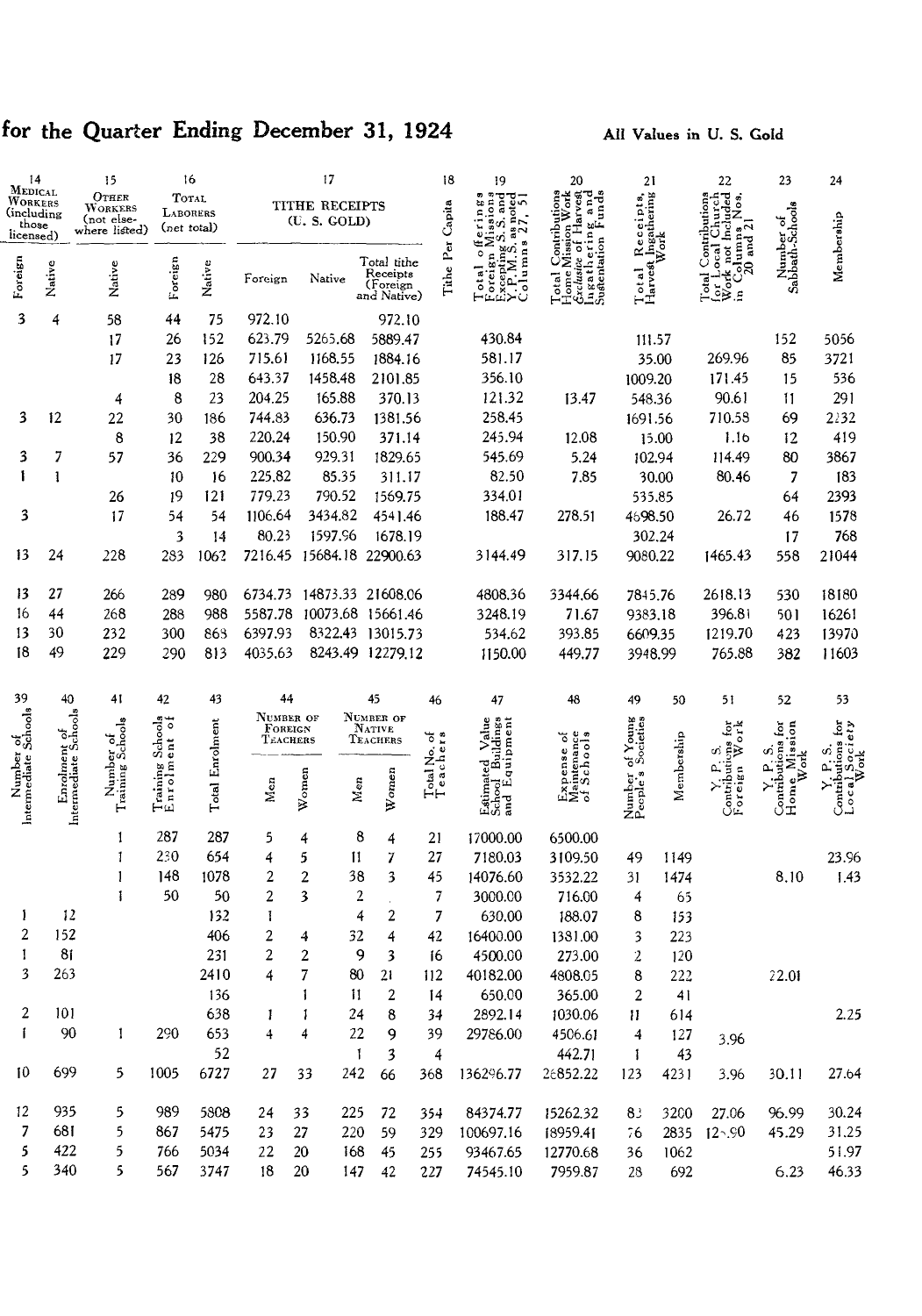# for the Quarter Ending December 31, 1924

| 14                                |                                      | 15                            | 16                               |                 | 17                   |                           | 18                         | 19                       | 20                                                      | 21                                                         |                                       | 22         | 23                                                                                   | 24                            |                                  |
|-----------------------------------|--------------------------------------|-------------------------------|----------------------------------|-----------------|----------------------|---------------------------|----------------------------|--------------------------|---------------------------------------------------------|------------------------------------------------------------|---------------------------------------|------------|--------------------------------------------------------------------------------------|-------------------------------|----------------------------------|
| MEDICAL<br>WORKERS<br>(including  |                                      | $O$ THER<br>WORKERS           | TOTAL<br><b>LABORERS</b>         |                 |                      | TITHE RECEIPTS            |                            |                          | S. and<br>čc<br>note                                    | Contributions<br>Aission Work<br>f Harvest                 |                                       |            | No.                                                                                  |                               |                                  |
| those<br>licensed)                |                                      | (not else-<br>where listed)   | (net total)                      |                 |                      | (U.S. GOLD)               |                            |                          | 19810D<br>erin<br>σi                                    |                                                            |                                       |            |                                                                                      |                               |                                  |
|                                   |                                      |                               |                                  |                 |                      |                           | Total tithe                | Tithe Per Capita         | $X.P.M.S.$ as 1<br>Columns<br>oreign M<br>$\frac{4}{3}$ | ering an<br>ome Mission<br>Ingatherir<br>Sughentation<br>C | Receipts,<br>theathering<br>Work      |            | ocal Church<br>not included<br>Contributions<br>lumns<br>and $\overline{2}$<br>.ocal | Number of<br>Sabbath-Schools  | Membership                       |
| Foreign                           | Native                               | Native                        | Foreign                          | Native          | Foreign              | Native                    | Receipts                   |                          | Total<br>Foreig                                         | rclusive o<br>otal                                         | Harvest<br>otal                       |            | ន<br>ं<br>ن<br>و≳<br>تا a<br>Total                                                   |                               |                                  |
|                                   |                                      |                               |                                  |                 |                      |                           | (Foreign<br>and Native)    |                          |                                                         |                                                            | H                                     |            |                                                                                      |                               |                                  |
| 3                                 | 4                                    | 58                            | 44                               | 75              | 972.10               |                           | 972.10                     |                          |                                                         |                                                            |                                       |            |                                                                                      |                               |                                  |
|                                   |                                      | 17                            | 26                               | 152             | 623.79               | 5265.68                   | 5889.47                    |                          | 430.84                                                  |                                                            | 111.57                                |            |                                                                                      | 152                           | 5056                             |
|                                   |                                      | 17                            | 23                               | 126             | 715.61               | 1168.55                   | 1884.16                    |                          | 581.17                                                  |                                                            |                                       | 35.00      | 269.96                                                                               | 85                            | 3721                             |
|                                   |                                      |                               | 18                               | 28              | 643.37               | 1458.48                   | 2101.85                    |                          | 356.10                                                  |                                                            | 1009.20                               |            | 171.45                                                                               | 15                            | 536                              |
|                                   |                                      | 4                             | 8                                | 23              | 204.25               | 165.88                    | 370.13                     |                          | 121.32                                                  | 13.47                                                      | 548.36                                |            | 90.61                                                                                | 11                            | 291                              |
| 3                                 | 12                                   | 22                            | 30                               | 186             | 744.83               | 636.73                    | 1381.56                    |                          | 258.45                                                  |                                                            | 1691.56                               |            | 710.58                                                                               | 69                            | 2232                             |
|                                   |                                      | 8                             | 12                               | 38              | 220.24               | 150.90                    | 371.14                     |                          | 245.94                                                  | 12.08                                                      |                                       | 15.00      | 1.1 <sub>b</sub>                                                                     | 12                            | 419                              |
| 3                                 | 7                                    | 57                            | 36                               | 229             | 900.34               | 929.31                    | 1829.65                    |                          | 545.69                                                  | 5.24                                                       | 102.94                                |            | 114.49                                                                               | 80                            | 3867                             |
| ١                                 | 1                                    |                               | 10                               | 16              | 225,82               | 85.35                     | 311.17                     |                          | 82.50                                                   | 7.85                                                       |                                       | 30.00      | 80.46                                                                                | 7                             | 183                              |
|                                   |                                      | 26                            | 19                               | 121             | 779.23               | 790.52                    | 1569.75                    |                          | 334.01                                                  |                                                            | 535.85                                |            |                                                                                      | 64                            | 2393                             |
| 3                                 |                                      | 17                            | 54                               | 54              | 1106.64              | 3434.82                   | 4541.46                    |                          | 188.47                                                  | 278.51                                                     | 4698.50                               |            | 26.72                                                                                | 46                            | 1578                             |
|                                   |                                      |                               | 3                                | 4               | 80.23                | 1597.96                   | 1678.19                    |                          |                                                         |                                                            | 302.24                                |            |                                                                                      | 17                            | 768                              |
| 13                                | 24                                   | 228                           | 283                              | 1062            |                      | 7216.45 15684.18 22900.63 |                            |                          | 3144.49                                                 | 317.15                                                     | 9080.22                               |            | 1465.43                                                                              | 558                           | 21044                            |
| 13                                | 27                                   | 266                           | 289                              | 980             | 6734.73              | 14873.33 21608.06         |                            |                          | 4808.36                                                 | 3344.66                                                    | 7815.76                               |            | 2618.13                                                                              | 530                           | 18180                            |
| 16                                | 44                                   | 268                           | 288                              | 988             | 5587.78              | 10073.68 15661.46         |                            |                          | 3248.19                                                 | 71.67                                                      | 9383.18                               |            | 396.81                                                                               | 501                           | 16261                            |
| 13                                | 30                                   | 232                           | 300                              | 863             | 6397.93              | 8322.43                   | 13015.73                   |                          | 534.62                                                  | 393.85                                                     | 6609.35                               |            | 1219.70                                                                              | 423                           | 13970                            |
| 18                                | 49                                   | 229                           | 290                              | 813             | 4035.63              |                           | 8243.49 12279.12           |                          | 1150.00                                                 | 449.77                                                     | 3948.99                               |            | 765.88                                                                               | 382                           | 11603                            |
|                                   |                                      |                               |                                  |                 |                      |                           |                            |                          |                                                         |                                                            |                                       |            |                                                                                      |                               |                                  |
| 39                                | 40                                   | 41                            | 42                               | 43              | 44                   |                           | 45                         | 46                       | 47                                                      | 48                                                         | 49                                    | 50         | 51                                                                                   | 52                            | 53                               |
|                                   |                                      |                               |                                  |                 | NUMBER OF<br>FOREIGN |                           | NUMBER OF<br><b>NATIVE</b> |                          |                                                         |                                                            |                                       |            | $rac{6r}{\sqrt{2}}$                                                                  | ة                             | .<br>S                           |
|                                   |                                      | Number of<br>Training Schools | Training Schools<br>Enrolment of | Total Enrolment | TEACHERS             |                           | TEACHERS                   | Total No. of<br>Teachers | Value                                                   | Expense of<br>Maintenance<br>of Schools                    |                                       | Membership | m                                                                                    | Mission<br>ωï                 | l Society<br>Work                |
|                                   |                                      |                               |                                  |                 |                      |                           |                            |                          |                                                         |                                                            |                                       |            | $\overline{\mathbf{a}}$                                                              | Work<br><u>۾</u>              |                                  |
|                                   |                                      |                               |                                  |                 | Men                  | Women<br>Men              | Women                      |                          |                                                         |                                                            |                                       |            |                                                                                      |                               |                                  |
| Number of<br>Intermediate Schools | Enrolment of<br>Intermediate Schools |                               |                                  |                 |                      |                           |                            |                          | School Buildings<br>and Equipment<br>Estimated          |                                                            | Number of Young<br>People's Societies |            | Contributions<br>Foreign We                                                          | Contributions<br>Home, Missio | Contributions<br>$\mathsf{Loca}$ |
|                                   |                                      | 1                             | 287                              | 287             | 5                    | 8<br>4                    | 4                          | 21                       | 17000.00                                                | 6500.00                                                    |                                       |            |                                                                                      |                               |                                  |
|                                   |                                      | 1                             | 230                              | 654             | 4                    | 5<br>11                   | 7                          | 27                       | 7180.03                                                 | 3109.50                                                    | 49                                    | 1149       |                                                                                      |                               | 23.96                            |
|                                   |                                      | 1                             | 148                              | 1078            | 2                    | 2<br>38                   | 3                          | 45                       | 14076.60                                                | 3532.22                                                    | 31                                    | 1474       |                                                                                      | 8.10                          | 1.43                             |
|                                   |                                      | $\mathbf{I}$                  | 50                               | 50              | $\overline{2}$       | 3<br>2                    |                            | 7                        | 3000.00                                                 | 716.00                                                     | 4                                     | 65         |                                                                                      |                               |                                  |
| 1                                 | 12                                   |                               |                                  | 132             | T                    | 4                         | 2                          | 7                        | 630.00                                                  | 188.07                                                     | 8                                     | 153        |                                                                                      |                               |                                  |
| $\overline{2}$                    | 152                                  |                               |                                  | 406             | 2                    | 32<br>4                   | 4                          | 42                       | 16400.00                                                | 1381.00                                                    | 3                                     | 223        |                                                                                      |                               |                                  |
| 1                                 | 8 <sub>1</sub>                       |                               |                                  | 231             | 2                    | $\overline{2}$<br>9       | 3                          | 16                       | 4500.00                                                 | 273.00                                                     | 2                                     | 120        |                                                                                      |                               |                                  |
| 3                                 | 263                                  |                               |                                  | 2410            | 4                    | 7<br>80                   | 21                         | 112                      | 40182.00                                                | 4808.05                                                    | 8                                     | 222        |                                                                                      | 22.01                         |                                  |
|                                   |                                      |                               |                                  | 136             |                      | $\overline{11}$           | 2                          | 14                       | 650.00                                                  | 365.00                                                     | 2                                     | 41         |                                                                                      |                               |                                  |
| 2                                 | 101                                  |                               |                                  | 638             | 1                    | 24<br>1                   | 8                          | 34                       | 2892.14                                                 | 1030.06                                                    | 11                                    | 614        |                                                                                      |                               | 2.25                             |
| Ĺ                                 | 90                                   | 1                             | 290                              | 653             | 4                    | 22<br>4                   | 9                          | 39                       | 29786.00                                                | 4506.61                                                    | 4                                     | 127        | 3.96                                                                                 |                               |                                  |
|                                   |                                      |                               |                                  | 52              |                      | $\mathbf{1}$              | 3                          | $\overline{4}$           |                                                         | 442.71                                                     | $\mathbf{1}$                          | 43         |                                                                                      |                               |                                  |
| 10                                | 699                                  | 5.                            | 1005                             | 6727            | 27                   | 242<br>33                 | 66                         | 368                      | 136296.77                                               | 26852.22                                                   | 123                                   | 4231       | 3.96                                                                                 | 30.11                         | 27.64                            |
| 12                                | 935                                  | 5                             | 989                              | 5808            | 24                   | 33<br>225                 | 72                         |                          | 84374.77                                                | 15262.32                                                   | 8 <sup>3</sup>                        | 3200       | 27.06                                                                                | 96.99                         | 30.24                            |
| 7                                 | 681                                  | 5                             | 867                              | 5475            | 23                   | 27<br>220                 | 59                         | 354<br>329               | 100697.16                                               | 18959.41                                                   | 76                                    | 2835       | $12 - 90$                                                                            | 45.29                         | 31.25                            |
| 5                                 | 422                                  | 5                             | 766                              | 5034            | 22                   | 20<br>168                 | 45                         | 255                      | 93467.65                                                | 12770.68                                                   | 36                                    | 1062       |                                                                                      |                               | 51.97                            |
| 5                                 | 340                                  | 5                             | 567                              | 3747            | 18                   | 20<br>147                 | 42                         | 227                      | 74545.10                                                | 7959.87                                                    | 28                                    | 692        |                                                                                      | 6.23                          | 46.33                            |
|                                   |                                      |                               |                                  |                 |                      |                           |                            |                          |                                                         |                                                            |                                       |            |                                                                                      |                               |                                  |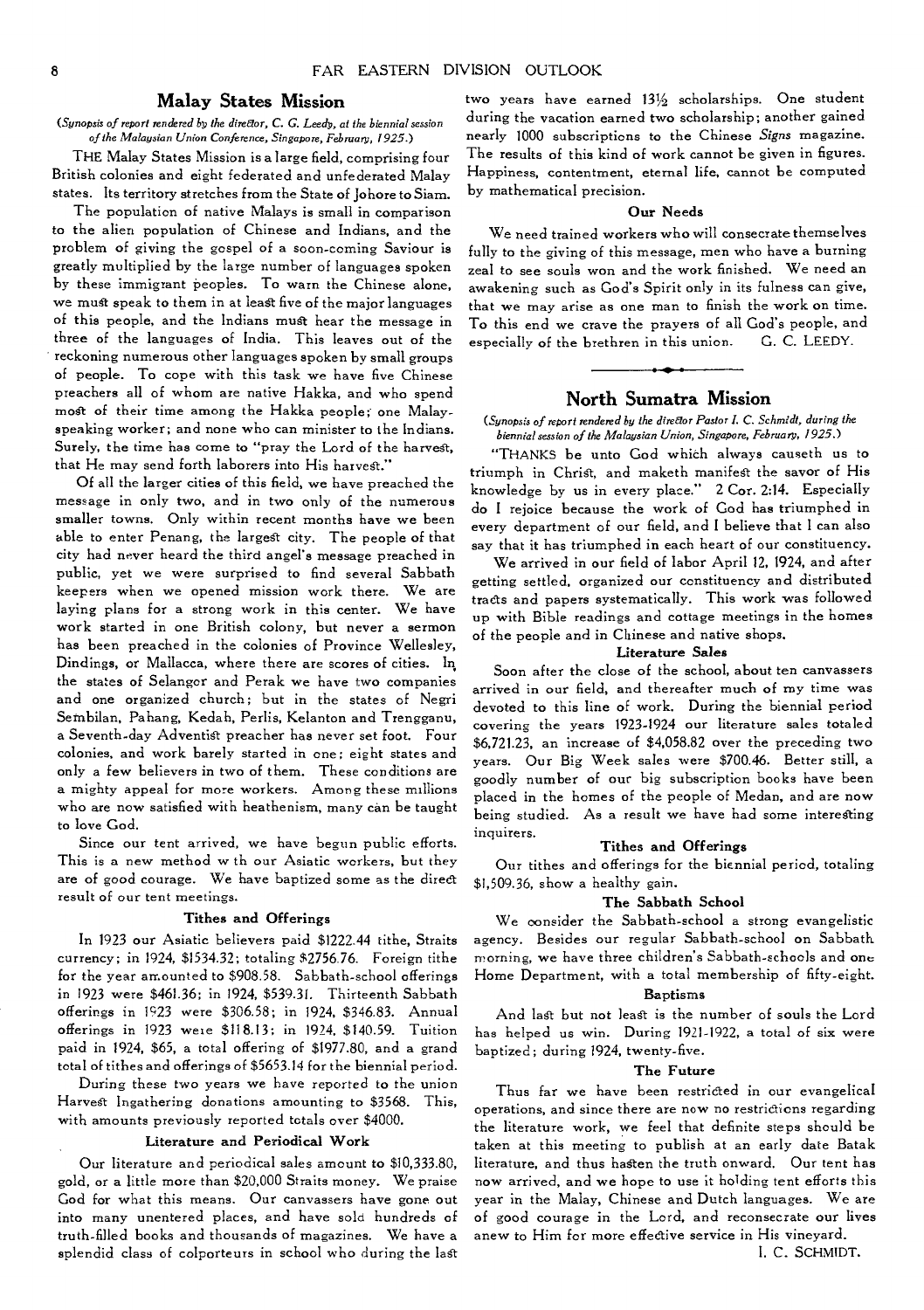## **Malay States Mission**

#### *(Synopsis of report rendered* by *the direEtor, C. G. Leedy, at the biennial session of the Malaysian Union Conference, Singapore, February, 1925.)*

THE Malay States Mission is a large field, comprising four British colonies and eight federated and unfederated Malay states. Its territory stretches from the State of Johore to Siam.

The population of native Malays is small in comparison to the alien population of Chinese and Indians, and the problem of giving the gospel of a soon-coming Saviour is greatly multiplied by the large number of languages spoken by these immigrant peoples. To warn the Chinese alone, we must speak to them in at least five of the major languages of this people, and the Indians must hear the message in three of the languages of India. This leaves out of the reckoning numerous other languages spoken by small groups of people. To cope with this task we have five Chinese preachers all of whom are native Hakka, and who spend most of their time among the Hakka people; one Malayspeaking worker; and none who can minister to the Indians. Surely, the time has come to "pray the Lord of the harvest, that He may send forth laborers into His harvest."

Of all the larger cities of this field, we have preached the message in only two, and in two only of the numerous smaller towns. Only within recent months have we been able to enter Penang, the largest city. The people of that city had never heard the third angel's message preached in public, yet we were surprised to find several Sabbath keepers when we opened mission work there. We are laying plans for a strong work in this center. We have work started in one British colony, but never a sermon has been preached in the colonies of Province Wellesley, Dindings, or Mallacca, where there are scores of cities. In, the states of Selangor and Perak we have two companies and one organized church; but in the states of Negri Sembilan, Pahang, Kedah, Perlis, Kelanton and Trengganu, a Seventh-day Adventist preacher has never set foot. Four colonies, and work barely started in one; eight states and only a few believers in two of them. These conditions are a mighty appeal for more workers. Among these millions who are now satisfied with heathenism, many can be taught to love God.

Since our tent arrived, we have begun public efforts. This is a new method w th our Asiatic workers, but they are of good courage. We have baptized some as the direct result of our tent meetings.

#### **Tithes and Offerings**

In 1923 our Asiatic believers paid \$1222.44 tithe, Straits currency; in 1924, \$1534.32; totaling \$2756.76. Foreign tithe for the year amounted to \$908.58. Sabbath-school offerings in 1923 were \$461.36; in 1924, \$539.31. Thirteenth Sabbath offerings in 1923 were \$306.58; in 1924, \$346.83. Annual offerings in 1923 were \$118.13; in 1924, \$140.59. Tuition paid in 1924, \$65, a total offering of \$1977.80, and a grand total of tithes and offerings of \$5653.14 for the biennial period.

During these two years we have reported to the union Harvest Ingathering donations amounting to \$3568. This, with amounts previously reported totals over \$4000.

#### **Literature and Periodical Work**

Our literature and periodical sales amount to \$10,333.80, gold, or a little more than \$20,000 Straits money. We praise God for what this means. Our canvassers have gone out into many unentered places, and have sold hundreds of truth-filled books and thousands of magazines. We have a splendid class of colporteurs in school who during the last

two years have earned 131/2 scholarships. One student during the vacation earned two scholarship; another gained nearly 1000 subscriptions to the Chinese *Signs* magazine. The results of this kind of work cannot be given in figures. Happiness, contentment, eternal life, cannot be computed by mathematical precision.

#### **Our Needs**

We need trained workers who will consecrate themselves fully to the giving of this message, men who have a burning zeal to see souls won and the work finished. We need an awakening such as God's Spirit only in its fulness can give, that we may arise as one man to finish the work on time. To this end we crave the prayers of all God's people, and especially of the brethren in this union. G. C. LEEDY.

## **North Sumatra Mission**

#### *(Synopsis of report rendered by the director Pastor 1. C. Schmidt, during the biennial session of the Malaysian Union, Singapore, February, 1925.)*

"THANKS be unto God which always causeth us to triumph in Christ, and maketh manifest the savor of His knowledge by us in every place." 2 Cor. 2:14. Especially do I rejoice because the work of God has triumphed in every department of our field, and I believe that I can also say that it has triumphed in each heart of our constituency.

We arrived in our field of labor April 12, 1924, and after getting settled, organized our constituency and distributed tracts and papers systematically. This work was followed up with Bible readings and cottage meetings in the homes of the people and in Chinese and native shops.

#### **Literature** *Sales*

Soon after the close of the school, about ten canvassers arrived in our field, and thereafter much of my time was devoted to this line of work. During the biennial period covering the years 1923-1924 our literature sales totaled \$6,721.23, an increase of \$4,058.82 over the preceding two years. Our Big Week sales were \$700.46. Better still, a goodly number of our big subscription books have been placed in the homes of the people of Medan, and are now being studied. As a result we have had some interesting inquirers.

#### **Tithes and Offerings**

Our tithes and offerings for the biennial period, totaling \$1,509.36, show a healthy gain.

#### **The Sabbath School**

We consider the Sabbath-school a strong evangelistic agency. Besides our regular Sabbath-school on Sabbath morning, we have three children's Sabbath-schools and one Home Department, with a total membership of fifty-eight.

#### **Baptisms**

And last but not lead is the number of souls the Lord has helped us win. During 1921-1922, a total of six were baptized; during 1924, twenty-five.

#### **The Future**

Thus far we have been restricted in our evangelical operations, and since there are now no restrictions regarding the literature work, we feel that definite steps should be taken at this meeting to publish at an early date Batak literature, and thus hasten the truth onward. Our tent has now arrived, and we hope to use it holding tent efforts this year in the Malay, Chinese and Dutch languages. We are of good courage in the Lord, and reconsecrate our lives anew to Him for more effective service in His vineyard.

I. C. SCHMIDT.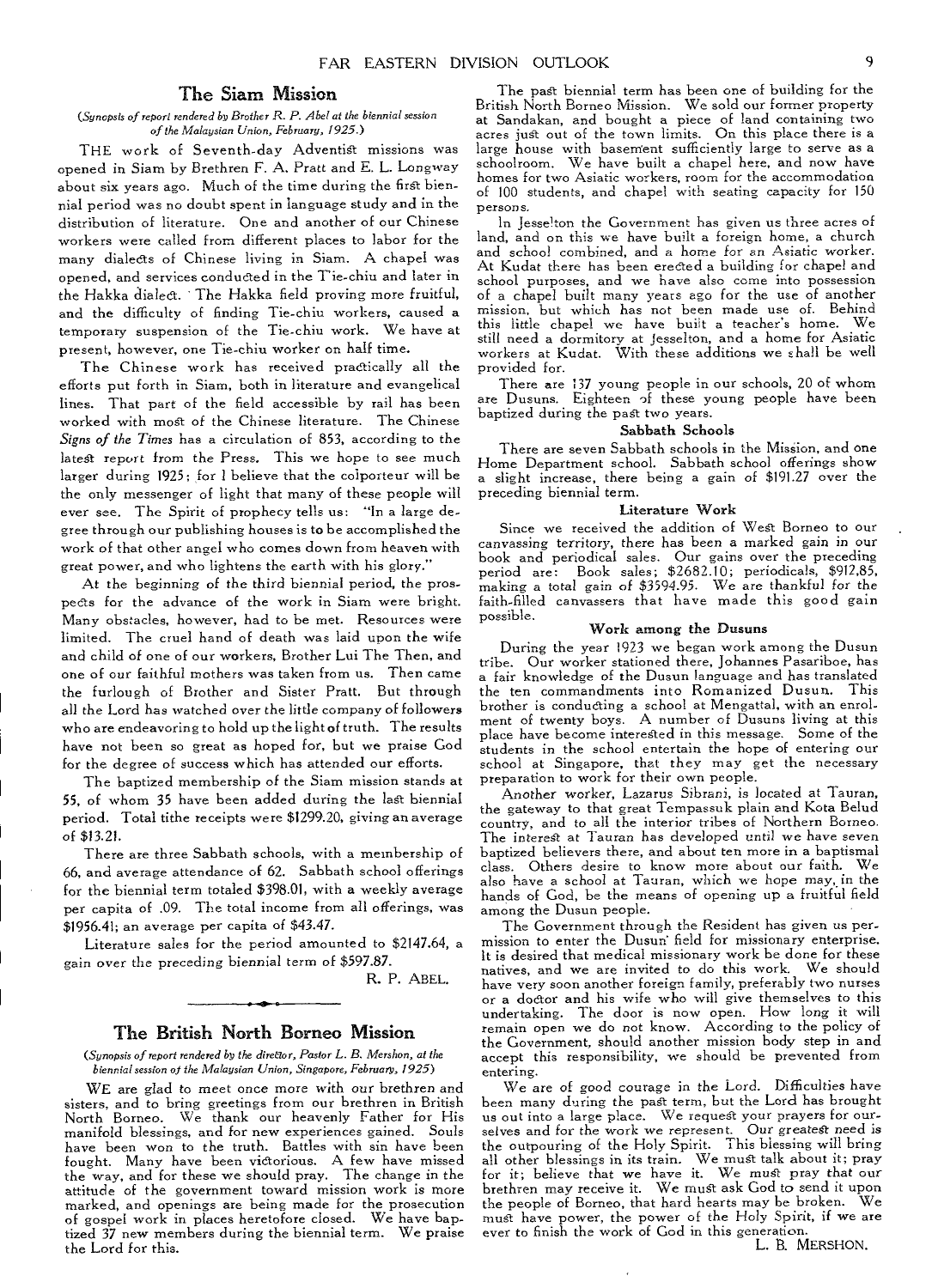#### The Siam Mission

#### *(Synopsis of report rendered by Brother R. P. Abel at the biennial session of the Malaysian Union, February, 1925.)*

THE work of Seventh-day Adventist missions was opened in Siam by Brethren F. A. Pratt and E. L. Longway about six years ago. Much of the time during the first biennial period was no doubt spent in language study and in the distribution of literature. One and another of our Chinese workers were called from different places to labor for the many dialects of Chinese living in Siam. A chapel was opened, and services conducted in the T'ie-chin and later in the Hakka dialect. The Hakka field proving more fruitful, and the difficulty of finding Tie-chiu workers, caused a temporary suspension of the Tie-chiu work. We have at present, however, one Tie-chin worker on half time.

The Chinese work has received practically all the efforts put forth in Siam, both in literature and evangelical lines. That part of the field accessible by rail has been worked with most of the Chinese literature. The Chinese *Signs of the Times* has a circulation of 853, according to the latest report from the Press. This we hope to see much larger during 1925: for I believe that the colporteur will be the only messenger of light that many of these people will ever see. The Spirit of prophecy tells us: "In a large degree through our publishing houses is to be accomplished the work of that other angel who comes down from heaven with great power, and who lightens the earth with his glory."

At the beginning of the third biennial period, the prospects for the advance of the work in Siam were bright. Many obstacles, however, had to be met. Resources were limited. The cruel hand of death was laid upon the wife and child of one of our workers, Brother Lui The Then, and one of our faithful mothers was taken from us. Then came the furlough of Brother and Sister Pratt. But through all the Lord has watched over the little company of followers who are endeavoring to hold up the light of truth. The results have not been so great as hoped for, but we praise God for the degree of success which has attended our efforts.

The baptized membership of the Siam mission stands at 55, of whom 35 have been added during the last biennial period. Total tithe receipts were \$1299.20, giving an average of \$13.21.

There are three Sabbath schools, with a membership of 66, and average attendance of 62. Sabbath school offerings for the biennial term totaled \$398.01, with a weekly average per capita of .09. The total income from all offerings, was \$1956.41; an average per capita of \$43.47.

Literature sales for the period amounted to \$2147.64, a gain over the preceding biennial term of \$597.87.

R. P. ABEL.

#### The British North Borneo Mission

*(Synopsis of report rendered* by *the director, Pastor L. B. Mershon, at the biennial session of the Malaysian Union, Singapore, February, 1925)* 

WE are glad to meet once more with our brethren and sisters, and to bring greetings from our brethren in British North Borneo. We thank our heavenly Father for His manifold blessings, and for new experiences gained. Souls have been won to the truth. Battles with sin have been fought. Many have been victorious. A few have missed the way, and for these we should pray. The change in the attitude of the government toward mission work is more marked, and openings are being made for the prosecution of gospel work in places heretofore closed. We have baptized 37 new members during the biennial term. We praise the Lord for this.

The past biennial term has been one of building for the British North Borneo Mission. We sold our former property at Sandakan, and bought a piece of land containing two acres just out of the town limits. On this place there is a large house with basement sufficiently large to serve as a schoolroom. We have built a chapel here, and now have homes for two Asiatic workers, room for the accommodation of 100 students, and chapel with seating capacity for 150 persons.

In Jesselton the Government has given us three acres of land, and on this we have built a foreign home, a church and school combined, and a home for an *Asiatic* worker. At Kudat there has been erected a building for chapel and school purposes, and we have also come into possession of a chapel built many years ago for the use of another mission, but which has not been made use of. Behind this little chapel we have built a teacher's home. We still need a dormitory at Jesselton, and a home for Asiatic workers at Kudat. With these additions we shall be well provided for.

There are 137 young people in our schools, 20 of whom are Dusuns. Eighteen of these young people have been baptized during the past two years.

#### Sabbath Schools

There are seven Sabbath schools in the Misgion, and one Home Department school. Sabbath school offerings show a slight increase, there being a gain of \$191.27 over the preceding biennial term.

#### Literature Work

Since we received the addition of West Borneo to our canvassing territory, there has been a marked gain in our book and periodical sales. Our gains over the preceding period are: Book sales; \$2682.10; periodicals, \$912,85, making a total gain of \$3594.95. We are thankful *for* the faith-filled canvassers that have made this good gain possible.

#### Work among the Dusuns

During the year 1923 we began work among the Dusun tribe. Our worker stationed there, Johannes Pasariboe, has a fair knowledge of the Dusun language and has translated the ten commandments into Romanized Dusun. This brother is conducting a school at Mengattal, with an enrolment of twenty boys. A number of Dusuns living at this place have become interested in this message. Some of the students in the school entertain the hope of entering our school at Singapore, that they may get the necessary preparation to work for their own people.

Another worker, Lazarus Sibrani, *is* located at Tauran, the gateway to that great Tempassuk plain and Kota Belud country, and to all the interior tribes of Northern Borneo. The interest at Tauran has developed until we have seven baptized believers there, and about ten more in a baptismal class. Others desire to know more about our faith. We also have a school at Tauran, which we hope may, in the hands of God, be the means of opening up a fruitful field among the Dusun people.

The Government through the Resident has given us permission to enter the Dusun field for missionary enterprise. It is desired that medical missionary work be done for these natives, and we are invited to do this work. We should have very soon another foreign family, preferably two nurses or a doctor and his wife who will give themselves to this undertaking. The door is now open. How long it will remain open we do not know. According to the policy of the Government, should another mission body step in and accept this responsibility, we should be prevented from entering.

We are of good courage in the Lord. Difficulties have been many during the past term, but the Lord has brought us out into a large place. We request your prayers for ourselves and for the work we represent. Our greatest need is the outpouring of the Holy Spirit. This blessing will bring all other blessings in its train. We must talk about it; pray for it; believe that we have it. We must pray that our brethren may receive it. We must ask God to send it upon the people of Borneo, that hard hearts may be broken. We must have power, the power of the Holy Spirit, if we are ever to finish the work of God in this generation.

L. B. MERSHON.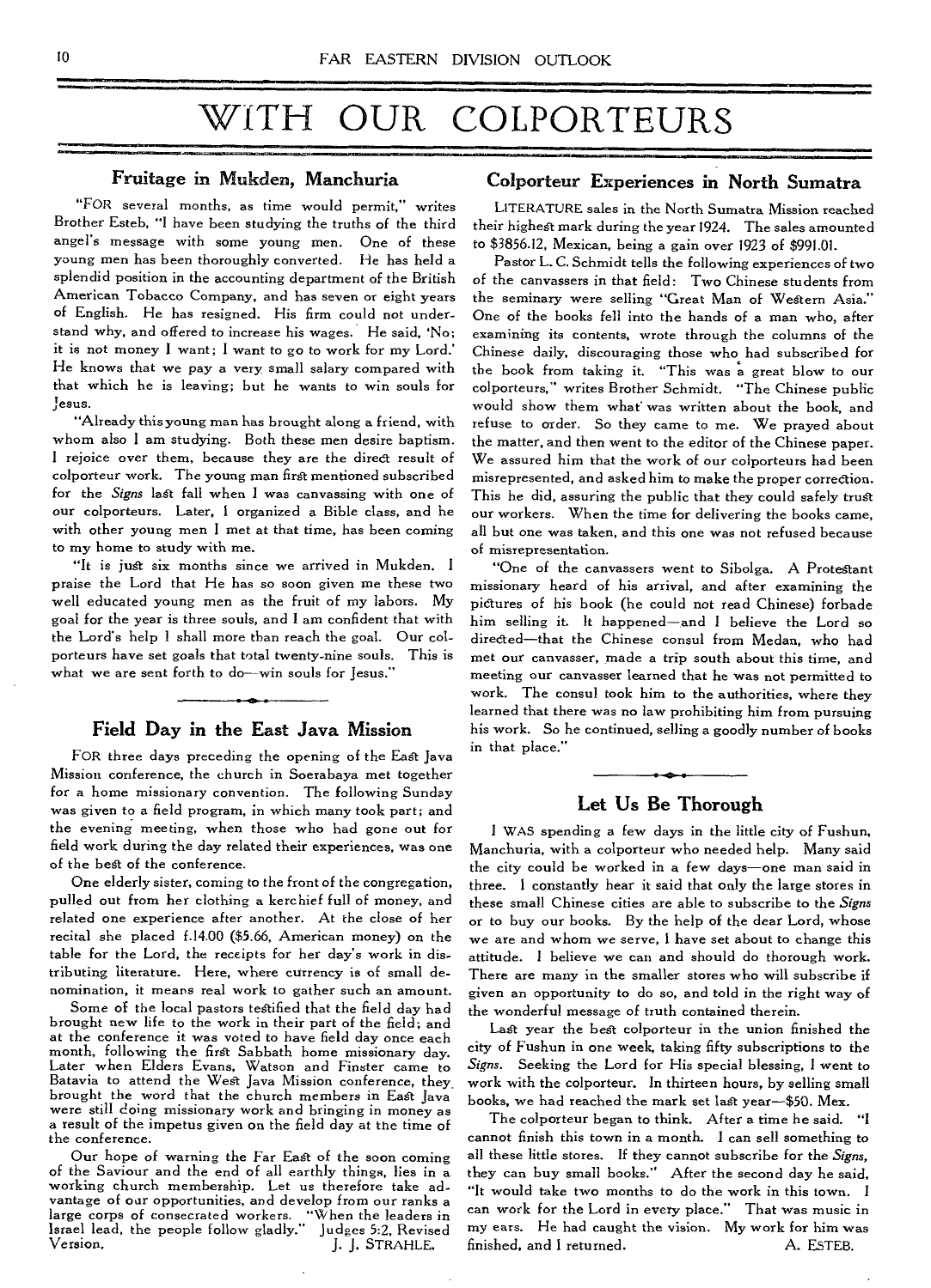# WITH OUR COLPORTEURS

## Fruitage in Mukden, Manchuria

"FOR several months, as time would permit," writes Brother Esteb, "I have been studying the truths of the third angel's message with some young men. One of these young men has been thoroughly converted. He has held a splendid position in the accounting department of the British American Tobacco Company, and has seven or eight years of English. He has resigned. His firm could not understand why, and offered to increase his wages. He said, 'No; it is not money I want; I want to go to work for my Lord.' He knows that we pay a very small salary compared with that which he is leaving; but he wants to win souls for Jesus.

"Already this young man has brought along a friend, with whom also I am studying. Both these men desire baptism. I rejoice over them, because they are the direct result of colporteur work. The young man first mentioned subscribed for the *Signs* last fall when I was canvassing with one of our colporteurs. Later, I organized a Bible class, and he with other young men I met at that time, has been coming to my home to study with me.

"It is just six months since we arrived in Mukden. I praise the Lord that He has so soon given me these two well educated young men as the fruit of my labors. My goal for the year is three souls, and I am confident that with the Lord's help I shall more than reach the goal. Our colporteurs have set goals that total twenty-nine souls. This is what we are sent forth to do—win souls for Jesus."

### Field Day in the East Java Mission

FOR three days preceding the opening of the East Java Mission conference, the church in Soerabaya met together for a home missionary convention. The following Sunday was given to a field program, in which many took part; and the evening meeting, when those who had gone out for field work during the day related their experiences, was one of the best of the conference.

One elderly sister, coming to the front of the congregation, pulled out from her clothing a kerchief full of money, and related one experience after another. At the close of her recital she placed f.14.00 (\$5.66, American money) on the table for the Lord, the receipts for her day's work in distributing literature. Here, where currency is of small denomination, it means real work to gather such an amount.

Some of the local pastors testified that the field day had brought new life to the work in their part of the field; and at the conference it was voted to have field day once each month, following the first Sabbath home missionary day. Later when Elders Evans, Watson and Finster came to Batavia to attend the West Java Mission conference, they\_ brought the word that the church members in East Java were still doing missionary work and bringing in money as a result of the impetus given on the field day at the time of the conference.

Our hope of warning the Far East of the soon coming of the Saviour and the end of all earthly things, lies in a working church membership. Let us therefore take advantage of our opportunities, and develop from our ranks a large corps of consecrated workers. "When the leaders in Israel lead, the people follow gladly." Judges 5:2, Revised J. J. STRAHLE.

#### Colporteur Experiences in North Sumatra

LITERATURE sales in the North Sumatra Mission reached their highest mark during the year 1924. The sales amounted to \$3856.12, Mexican, being a gain over 1923 of \$991.01.

Pastor L. C. Schmidt tells the following experiences of two of the canvassers in that field: Two Chinese students from the seminary were selling "Great Man of Western Asia." One of the books fell into the hands of a man who, after examining its contents, wrote through the columns of the Chinese daily, discouraging those who had subscribed for the book from taking it. "This was a great blow to our colporteurs," writes Brother Schmidt. "The Chinese public would show them what was written about the book, and refuse to order. So they came to me. We prayed about the matter, and then went to the editor of the Chinese paper. We assured him that the work of our colporteurs had been misrepresented, and asked him to make the proper correction. This he did, assuring the public that they could safely trust our workers. When the time for delivering the books came, all but one was taken, and this one was not refused because of misrepresentation.

"One of the canvassers went to Sibolga. A Protestant missionary heard of his arrival, and after examining the pictures of his book (he could not read Chinese) forbade him selling it. It happened—and I believe the Lord so directed—that the Chinese consul from Medan, who had met our canvasser, made a trip south about this time, and meeting our canvasser learned that he was not permitted to work. The consul took him to the authorities, where they learned that there was no law prohibiting him from pursuing his work. So he continued, selling a goodly number of books in that place."

# Let Us Be Thorough

<sup>I</sup>WAS spending a few days in the little city of Fushun, Manchuria, with a colporteur who needed help. Many said the city could be worked in a few days—one man said in three. I constantly hear it said that only the large stores in these small Chinese cities are able to subscribe to the *Signs*  or to buy our books. By the help of the dear Lord, whose we are and whom we serve, I have set about to change this attitude. I believe we can and should do thorough work. There are many in the smaller stores who will subscribe if given an opportunity to do so, and told in the right way of the wonderful message of truth contained therein.

Last year the best colporteur in the union finished the city of Fushun in one week, taking fifty subscriptions to the *Signs.* Seeking the Lord for His special blessing, I went to work with the colporteur. In thirteen hours, by selling small books, we had reached the mark set last year—\$50. Mex.

The colporteur began to think. After a time he said. "I cannot finish this town in a month. I can sell something to all these little stores. If they cannot subscribe for the *Signs,*  they can buy small books." After the second day he said, "It would take two months to do the work in this town. I can work for the Lord in every place." That was music in my ears. He had caught the vision. My work for him was finished, and I returned. A. ESTEB.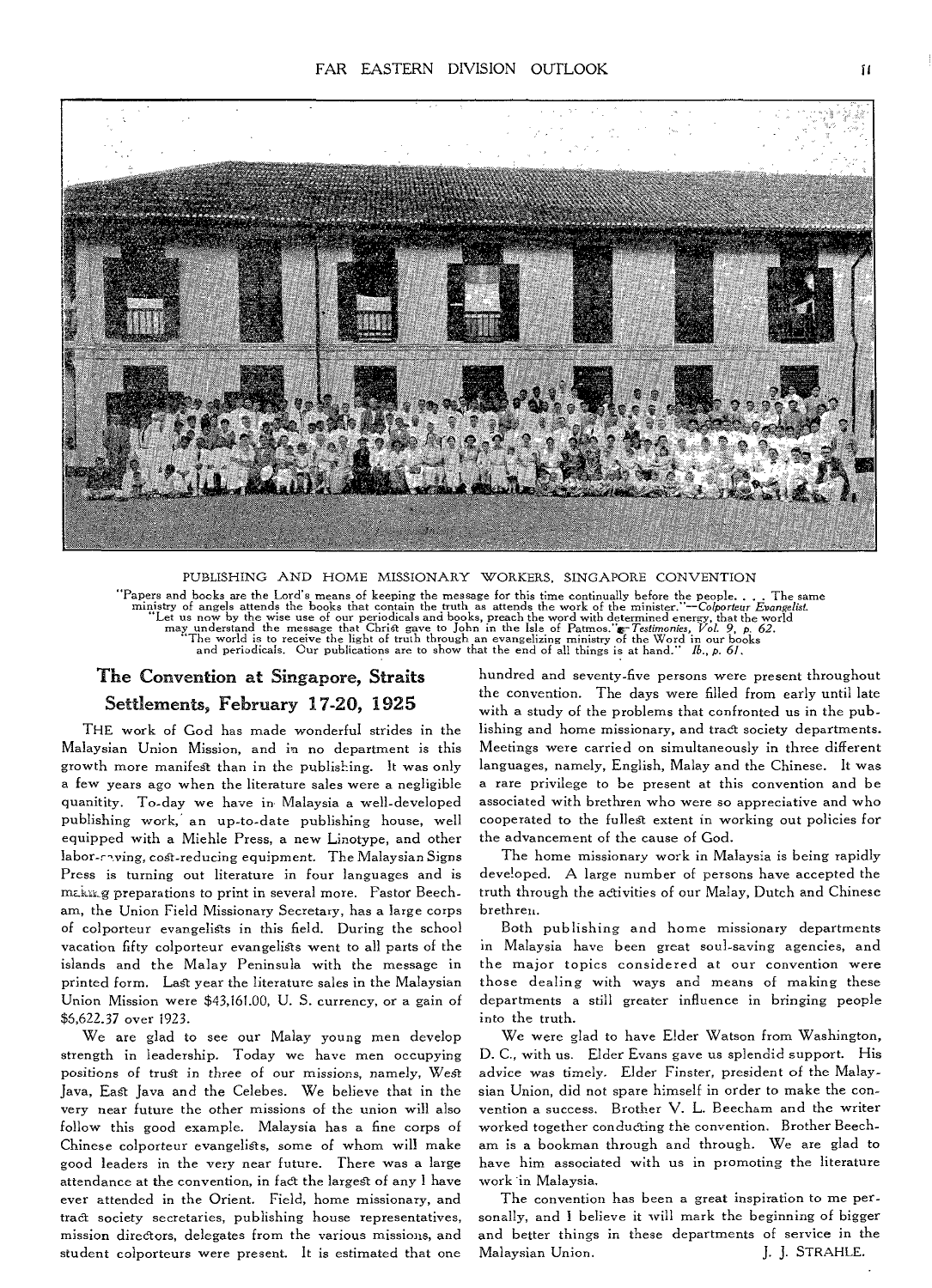

# PUBLISHING AND HOME MISSIONARY WORKERS, SINGAPORE CONVENTION "Papers and books are the Lord's means of keeping the message for this time continually before the people.... The same ministry of angels attends the books that contain the tuttu as attends the work of the minister."—Co/p

# The Convention at Singapore, Straits Settlements, February 17-20, 1925

THE work of God has made wonderful strides in the Malaysian Union Mission, and in no department is this growth more manifest than in the publishing. It was only a few years ago when the literature sales were a negligible quanitity. To-day we have in Malaysia a well-developed publishing work: an up-to-date publishing house, well equipped with a Miehle Press, a new Linotype, and other labor-raving, cost-reducing equipment. The Malaysian Signs Press is turning out literature in four languages and is making preparations to print in several more. Pastor Beecham, the Union Field Missionary Secretary, has a large corps of colporteur evangelists in this field. During the school vacation fifty colporteur evangelists went to all parts of the islands and the Malay Peninsula with the message in printed form. Last year the literature sales in the Malaysian Union Mission were \$43,161.00, U. S. currency, or a gain of \$5,622.37 over 1923.

We are glad to see our Malay young men develop strength in leadership. Today we have men occupying positions of trust in three of our *missions,* namely, West Java, East Java and the Celebes. We believe that in the very near future the other missions of the union will also follow this good example. Malaysia has a fine corps of Chinese colporteur evangelists, some of whom will make good leaders in the very near future. There was a large attendance at the convention, in fact the largest of any I have ever attended in the Orient. Field, home missionary, and tract society secretaries, publishing house representatives, mission directors, delegates from the various missions, and student colporteurs were present. It is estimated that one

hundred and seventy-five persons were present throughout the convention. The days were filled from early until late with a study of the problems that confronted us in the publishing and home missionary, and tract society departments. Meetings were carried on simultaneously in three different languages, namely, English, Malay and the Chinese. It was a rare privilege to be present at this convention and be associated with brethren who were so appreciative and who cooperated to the fullest extent in working out policies for the advancement of the cause of God.

The home missionary work in Malaysia is being rapidly developed. A large number of persons have accepted the truth through the activities of our Malay, Dutch and Chinese brethren.

Both publishing and home missionary departments in Malaysia have been great soul-saving agencies, and the major topics considered at our convention were those dealing with ways and means of making these departments a still greater influence in bringing people into the truth.

We were glad to have Elder Watson from Washington, D. C., with us. Elder Evans gave us splendid support. His advice was timely. Elder Finster, president of the Malaysian Union, did not spare himself in order to make the convention a success. Brother V. L. Beecham and the writer worked together conducting the convention. Brother Beecham is a bookman through and through. We are glad to have him associated with us in promoting the literature work in Malaysia.

The convention has been a great inspiration to me personally, and I believe it will mark the beginning of bigger and better things in these departments of service in the Malaysian Union. J. J. STRAHLE.